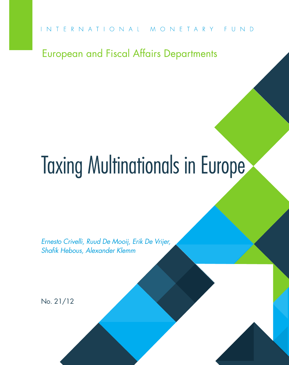European and Fiscal Affairs Departments

# Taxing Multinationals in Europe

*Ernesto Crivelli, Ruud De Mooij, Erik De Vrijer, Shafik Hebous, Alexander Klemm*

No. 21/12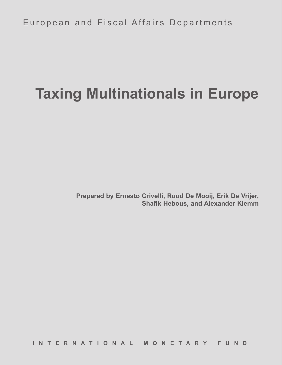European and Fiscal Affairs Departments

## **Taxing Multinationals in Europe**

**Prepared by Ernesto Crivelli, Ruud De Mooij, Erik De Vrijer, Shafik Hebous, and Alexander Klemm**

**INTERNATIONAL MONETARY FUND**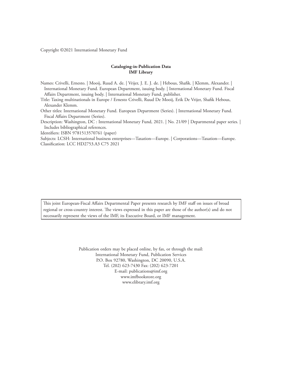Copyright ©2021 International Monetary Fund

#### **Cataloging-in-Publication Data IMF Library**

Names: Crivelli, Ernesto. | Mooij, Ruud A. de. | Vrijer, J. E. J. de. | Hebous, Shafik. | Klemm, Alexander. | International Monetary Fund. European Department, issuing body. | International Monetary Fund. Fiscal Affairs Department, issuing body. | International Monetary Fund, publisher.

Title: Taxing multinationals in Europe / Ernesto Crivelli, Ruud De Mooij, Erik De Vrijer, Shafik Hebous, Alexander Klemm.

Other titles: International Monetary Fund. European Department (Series). | International Monetary Fund. Fiscal Affairs Department (Series).

Description: Washington, DC : International Monetary Fund, 2021. | No. 21/09 | Departmental paper series. | Includes bibliographical references.

Identifiers: ISBN 9781513570761 (paper)

Subjects: LCSH: International business enterprises—Taxation—Europe. | Corporations—Taxation—Europe. Classification: LCC HD2753.A3 C75 2021

This joint European-Fiscal Affairs Departmental Paper presents research by IMF staff on issues of broad regional or cross-country interest. The views expressed in this paper are those of the author(s) and do not necessarily represent the views of the IMF, its Executive Board, or IMF management.

> Publication orders may be placed online, by fax, or through the mail: International Monetary Fund, Publication Services P.O. Box 92780, Washington, DC 20090, U.S.A. Tel. (202) 623-7430 Fax: (202) 623-7201 E-mail: publications@imf.org www.imfbookstore.org www.elibrary.imf.org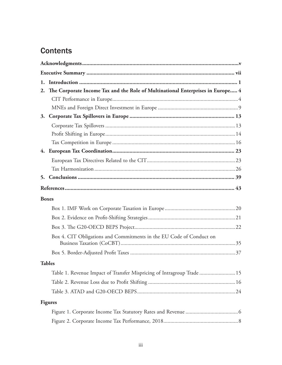## **Contents**

| 2. | The Corporate Income Tax and the Role of Multinational Enterprises in Europe 4 |  |
|----|--------------------------------------------------------------------------------|--|
|    |                                                                                |  |
|    |                                                                                |  |
|    |                                                                                |  |
|    |                                                                                |  |
|    |                                                                                |  |
|    |                                                                                |  |
|    |                                                                                |  |
|    |                                                                                |  |
|    |                                                                                |  |
| 5. |                                                                                |  |
|    |                                                                                |  |
|    | <b>Boxes</b>                                                                   |  |
|    |                                                                                |  |
|    |                                                                                |  |
|    |                                                                                |  |
|    | Box 4. CIT Obligations and Commitments in the EU Code of Conduct on            |  |
|    |                                                                                |  |
|    | <b>Tables</b>                                                                  |  |
|    | Table 1. Revenue Impact of Transfer Mispricing of Intragroup Trade  15         |  |
|    |                                                                                |  |
|    |                                                                                |  |
|    | <b>Figures</b>                                                                 |  |
|    |                                                                                |  |
|    |                                                                                |  |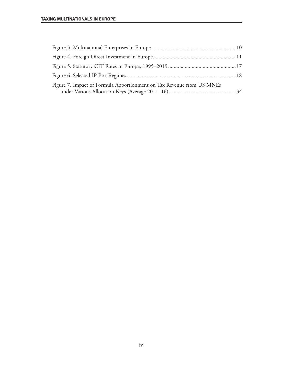| Figure 7. Impact of Formula Apportionment on Tax Revenue from US MNEs |  |
|-----------------------------------------------------------------------|--|
|                                                                       |  |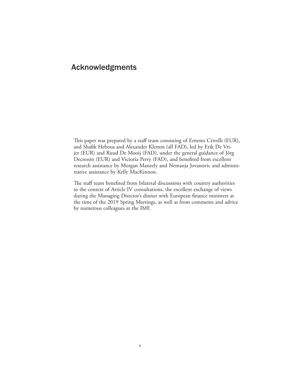### Acknowledgments

This paper was prepared by a staff team consisting of Ernesto Crivelli (EUR), and Shafik Hebous and Alexander Klemm (all FAD), led by Erik De Vrijer (EUR) and Ruud De Mooij (FAD), under the general guidance of Jörg Decressin (EUR) and Victoria Perry (FAD), and benefited from excellent research assistance by Morgan Maneely and Nemanja Jovanovic and administrative assistance by Kelly MacKinnon.

The staff team benefited from bilateral discussions with country authorities in the context of Article IV consultations, the excellent exchange of views during the Managing Director's dinner with European finance ministers at the time of the 2019 Spring Meetings, as well as from comments and advice by numerous colleagues at the IMF.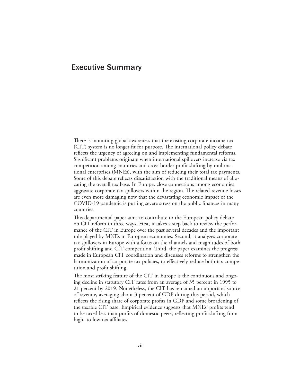#### Executive Summary

There is mounting global awareness that the existing corporate income tax (CIT) system is no longer fit for purpose. The international policy debate reflects the urgency of agreeing on and implementing fundamental reforms. Significant problems originate when international spillovers increase via tax competition among countries and cross-border profit shifting by multinational enterprises (MNEs), with the aim of reducing their total tax payments. Some of this debate reflects dissatisfaction with the traditional means of allocating the overall tax base. In Europe, close connections among economies aggravate corporate tax spillovers within the region. The related revenue losses are even more damaging now that the devastating economic impact of the COVID-19 pandemic is putting severe stress on the public finances in many countries.

This departmental paper aims to contribute to the European policy debate on CIT reform in three ways. First, it takes a step back to review the performance of the CIT in Europe over the past several decades and the important role played by MNEs in European economies. Second, it analyzes corporate tax spillovers in Europe with a focus on the channels and magnitudes of both profit shifting and CIT competition. Third, the paper examines the progress made in European CIT coordination and discusses reforms to strengthen the harmonization of corporate tax policies, to effectively reduce both tax competition and profit shifting.

The most striking feature of the CIT in Europe is the continuous and ongoing decline in statutory CIT rates from an average of 35 percent in 1995 to 21 percent by 2019. Nonetheless, the CIT has remained an important source of revenue, averaging about 3 percent of GDP during this period, which reflects the rising share of corporate profits in GDP and some broadening of the taxable CIT base. Empirical evidence suggests that MNEs' profits tend to be taxed less than profits of domestic peers, reflecting profit shifting from high- to low-tax affiliates.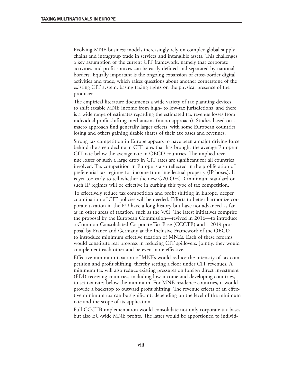Evolving MNE business models increasingly rely on complex global supply chains and intragroup trade in services and intangible assets. This challenges a key assumption of the current CIT framework, namely that corporate activities and profit sources can be easily defined and separated by national borders. Equally important is the ongoing expansion of cross-border digital activities and trade, which raises questions about another cornerstone of the existing CIT system: basing taxing rights on the physical presence of the producer.

The empirical literature documents a wide variety of tax planning devices to shift taxable MNE income from high- to low-tax jurisdictions, and there is a wide range of estimates regarding the estimated tax revenue losses from individual profit-shifting mechanisms (micro approach). Studies based on a macro approach find generally larger effects, with some European countries losing and others gaining sizable shares of their tax bases and revenues.

Strong tax competition in Europe appears to have been a major driving force behind the steep decline in CIT rates that has brought the average European CIT rate below the average rate in OECD countries. The implied revenue losses of such a large drop in CIT rates are significant for all countries involved. Tax competition in Europe is also reflected in the proliferation of preferential tax regimes for income from intellectual property (IP boxes). It is yet too early to tell whether the new G20-OECD minimum standard on such IP regimes will be effective in curbing this type of tax competition.

To effectively reduce tax competition and profit shifting in Europe, deeper coordination of CIT policies will be needed. Efforts to better harmonize corporate taxation in the EU have a long history but have not advanced as far as in other areas of taxation, such as the VAT. The latest initiatives comprise the proposal by the European Commission—revived in 2016—to introduce a Common Consolidated Corporate Tax Base (CCCTB) and a 2019 proposal by France and Germany at the Inclusive Framework of the OECD to introduce minimum effective taxation of MNEs. Each of these reforms would constitute real progress in reducing CIT spillovers. Jointly, they would complement each other and be even more effective.

Effective minimum taxation of MNEs would reduce the intensity of tax competition and profit shifting, thereby setting a floor under CIT revenues. A minimum tax will also reduce existing pressures on foreign direct investment (FDI)-receiving countries, including low-income and developing countries, to set tax rates below the minimum. For MNE residence countries, it would provide a backstop to outward profit shifting. The revenue effects of an effective minimum tax can be significant, depending on the level of the minimum rate and the scope of its application.

Full CCCTB implementation would consolidate not only corporate tax bases but also EU-wide MNE profits. The latter would be apportioned to individ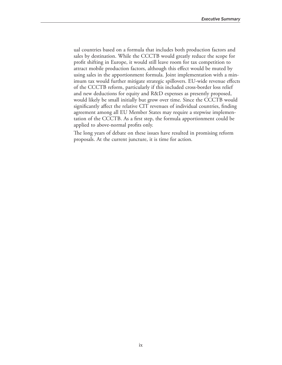ual countries based on a formula that includes both production factors and sales by destination. While the CCCTB would greatly reduce the scope for profit shifting in Europe, it would still leave room for tax competition to attract mobile production factors, although this effect would be muted by using sales in the apportionment formula. Joint implementation with a minimum tax would further mitigate strategic spillovers. EU-wide revenue effects of the CCCTB reform, particularly if this included cross-border loss relief and new deductions for equity and R&D expenses as presently proposed, would likely be small initially but grow over time. Since the CCCTB would significantly affect the relative CIT revenues of individual countries, finding agreement among all EU Member States may require a stepwise implementation of the CCCTB. As a first step, the formula apportionment could be applied to above-normal profits only.

The long years of debate on these issues have resulted in promising reform proposals. At the current juncture, it is time for action.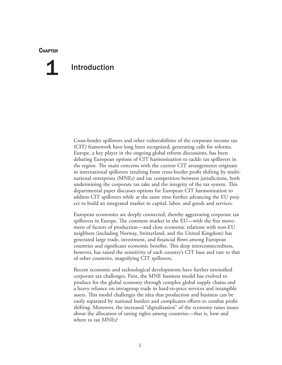#### **CHAPTER**

## Introduction 1

Cross-border spillovers and other vulnerabilities of the corporate income tax (CIT) framework have long been recognized, generating calls for reforms. Europe, a key player in the ongoing global reform discussions, has been debating European options of CIT harmonization to tackle tax spillovers in the region. The main concerns with the current CIT arrangements originate in international spillovers resulting from cross-border profit shifting by multinational enterprises (MNEs) and tax competition between jurisdictions, both undermining the corporate tax take and the integrity of the tax system. This departmental paper discusses options for European CIT harmonization to address CIT spillovers while at the same time further advancing the EU project to build an integrated market in capital, labor, and goods and services.

European economies are deeply connected, thereby aggravating corporate tax spillovers in Europe. The common market in the EU—with the free movement of factors of production—and close economic relations with non-EU neighbors (including Norway, Switzerland, and the United Kingdom) has generated large trade, investment, and financial flows among European countries and significant economic benefits. This deep interconnectedness, however, has raised the sensitivity of each country's CIT base and rate to that of other countries, magnifying CIT spillovers.

Recent economic and technological developments have further intensified corporate tax challenges. First, the MNE business model has evolved to produce for the global economy through complex global supply chains and a heavy reliance on intragroup trade in hard-to-price services and intangible assets. This model challenges the idea that production and business can be easily separated by national borders and complicates efforts to combat profit shifting. Moreover, the increased "digitalization" of the economy raises issues about the allocation of taxing rights among countries—that is, how and where to tax MNEs?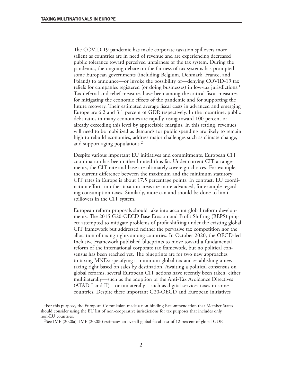The COVID-19 pandemic has made corporate taxation spillovers more salient as countries are in need of revenue and are experiencing decreased public tolerance toward perceived unfairness of the tax system. During the pandemic, the ongoing debate on the fairness of tax systems has prompted some European governments (including Belgium, Denmark, France, and Poland) to announce—or invoke the possibility of—denying COVID-19 tax reliefs for companies registered (or doing businesses) in low-tax jurisdictions.<sup>1</sup> Tax deferral and relief measures have been among the critical fiscal measures for mitigating the economic effects of the pandemic and for supporting the future recovery. Their estimated average fiscal costs in advanced and emerging Europe are 6.2 and 3.1 percent of GDP, respectively. In the meantime, public debt ratios in many economies are rapidly rising toward 100 percent or already exceeding this level by appreciable margins. In this setting, revenues will need to be mobilized as demands for public spending are likely to remain high to rebuild economies, address major challenges such as climate change, and support aging populations.<sup>2</sup>

Despite various important EU initiatives and commitments, European CIT coordination has been rather limited thus far. Under current CIT arrangements, the CIT rate and base are ultimately sovereign choices. For example, the current difference between the maximum and the minimum statutory CIT rates in Europe is about 17.5 percentage points. In contrast, EU coordination efforts in other taxation areas are more advanced, for example regarding consumption taxes. Similarly, more can and should be done to limit spillovers in the CIT system.

European reform proposals should take into account global reform developments. The 2015 G20-OECD Base Erosion and Profit Shifting (BEPS) project attempted to mitigate problems of profit shifting under the existing global CIT framework but addressed neither the pervasive tax competition nor the allocation of taxing rights among countries. In October 2020, the OECD-led Inclusive Framework published blueprints to move toward a fundamental reform of the international corporate tax framework, but no political consensus has been reached yet. The blueprints are for two new approaches to taxing MNEs: specifying a minimum global tax and establishing a new taxing right based on sales by destination. Awaiting a political consensus on global reforms, several European CIT actions have recently been taken, either multilaterally—such as the adoption of the Anti-Tax Avoidance Directives (ATAD I and II)—or unilaterally—such as digital services taxes in some countries. Despite these important G20-OECD and European initiatives

<sup>1</sup>For this purpose, the European Commission made a non-binding Recommendation that Member States should consider using the EU list of non-cooperative jurisdictions for tax purposes that includes only non-EU countries.

<sup>2</sup>See IMF (2020a). IMF (2020b) estimates an overall global fiscal cost of 12 percent of global GDP.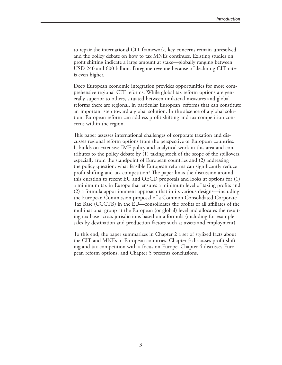to repair the international CIT framework, key concerns remain unresolved and the policy debate on how to tax MNEs continues. Existing studies on profit shifting indicate a large amount at stake—globally ranging between USD 240 and 600 billion. Foregone revenue because of declining CIT rates is even higher.

Deep European economic integration provides opportunities for more comprehensive regional CIT reforms. While global tax reform options are generally superior to others, situated between unilateral measures and global reforms there are regional, in particular European, reforms that can constitute an important step toward a global solution. In the absence of a global solution, European reform can address profit shifting and tax competition concerns within the region.

This paper assesses international challenges of corporate taxation and discusses regional reform options from the perspective of European countries. It builds on extensive IMF policy and analytical work in this area and contributes to the policy debate by (1) taking stock of the scope of the spillovers, especially from the standpoint of European countries and (2) addressing the policy question: what feasible European reforms can significantly reduce profit shifting and tax competition? The paper links the discussion around this question to recent EU and OECD proposals and looks at options for (1) a minimum tax in Europe that ensures a minimum level of taxing profits and (2) a formula apportionment approach that in its various designs—including the European Commission proposal of a Common Consolidated Corporate Tax Base (CCCTB) in the EU—consolidates the profits of all affiliates of the multinational group at the European (or global) level and allocates the resulting tax base across jurisdictions based on a formula (including for example sales by destination and production factors such as assets and employment).

To this end, the paper summarizes in Chapter 2 a set of stylized facts about the CIT and MNEs in European countries. Chapter 3 discusses profit shifting and tax competition with a focus on Europe. Chapter 4 discusses European reform options, and Chapter 5 presents conclusions.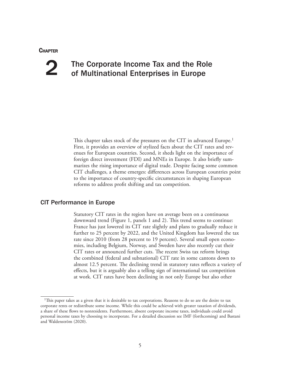#### **CHAPTER**

## 2

## The Corporate Income Tax and the Role of Multinational Enterprises in Europe

This chapter takes stock of the pressures on the CIT in advanced Europe.<sup>1</sup> First, it provides an overview of stylized facts about the CIT rates and revenues for European countries. Second, it sheds light on the importance of foreign direct investment (FDI) and MNEs in Europe. It also briefly summarizes the rising importance of digital trade. Despite facing some common CIT challenges, a theme emerges: differences across European countries point to the importance of country-specific circumstances in shaping European reforms to address profit shifting and tax competition.

#### CIT Performance in Europe

Statutory CIT rates in the region have on average been on a continuous downward trend (Figure 1, panels 1 and 2). This trend seems to continue: France has just lowered its CIT rate slightly and plans to gradually reduce it further to 25 percent by 2022, and the United Kingdom has lowered the tax rate since 2010 (from 28 percent to 19 percent). Several small open economies, including Belgium, Norway, and Sweden have also recently cut their CIT rates or announced further cuts. The recent Swiss tax reform brings the combined (federal and subnational) CIT rate in some cantons down to almost 12.5 percent. The declining trend in statutory rates reflects a variety of effects, but it is arguably also a telling sign of international tax competition at work. CIT rates have been declining in not only Europe but also other

<sup>1</sup>This paper takes as a given that it is desirable to tax corporations. Reasons to do so are the desire to tax corporate rents or redistribute some income. While this could be achieved with greater taxation of dividends, a share of these flows to nonresidents. Furthermore, absent corporate income taxes, individuals could avoid personal income taxes by choosing to incorporate. For a detailed discussion see IMF (forthcoming) and Bastani and Waldenström (2020).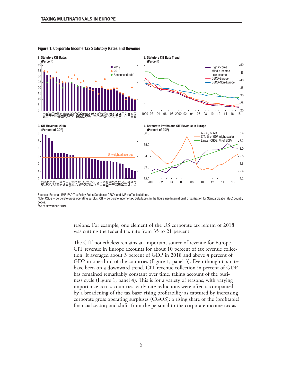

#### Figure 1. Corporate Income Tax Statutory Rates and Revenue

Sources: Eurostat; IMF, FAD Tax Policy Rates Database; OECD; and IMF staff calculations.

Note: CGOS = corporate gross operating surplus. CIT = corporate income tax. Data labels in the figure use International Organization for Standardization (ISO) country codes.

1 As of November 2019.

regions. For example, one element of the US corporate tax reform of 2018 was cutting the federal tax rate from 35 to 21 percent.

The CIT nonetheless remains an important source of revenue for Europe. CIT revenue in Europe accounts for about 10 percent of tax revenue collection. It averaged about 3 percent of GDP in 2018 and above 4 percent of GDP in one-third of the countries (Figure 1, panel 3). Even though tax rates have been on a downward trend, CIT revenue collection in percent of GDP has remained remarkably constant over time, taking account of the business cycle (Figure 1, panel 4). This is for a variety of reasons, with varying importance across countries: early rate reductions were often accompanied by a broadening of the tax base; rising profitability as captured by increasing corporate gross operating surpluses (CGOS); a rising share of the (profitable) financial sector; and shifts from the personal to the corporate income tax as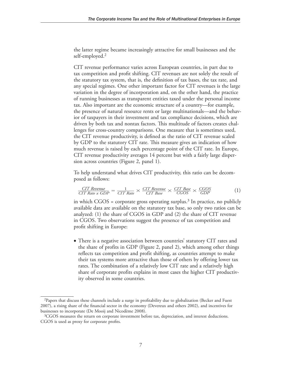the latter regime became increasingly attractive for small businesses and the self-employed.2

CIT revenue performance varies across European countries, in part due to tax competition and profit shifting. CIT revenues are not solely the result of the statutory tax system, that is, the definition of tax bases, the tax rate, and any special regimes. One other important factor for CIT revenues is the large variation in the degree of incorporation and, on the other hand, the practice of running businesses as transparent entities taxed under the personal income tax. Also important are the economic structure of a country—for example, the presence of natural resource rents or large multinationals—and the behavior of taxpayers in their investment and tax compliance decisions, which are driven by both tax and nontax factors. This multitude of factors creates challenges for cross-country comparisons. One measure that is sometimes used, the CIT revenue productivity, is defined as the ratio of CIT revenue scaled by GDP to the statutory CIT rate. This measure gives an indication of how much revenue is raised by each percentage point of the CIT rate. In Europe, CIT revenue productivity averages 14 percent but with a fairly large dispersion across countries (Figure 2, panel 1).

To help understand what drives CIT productivity, this ratio can be decomposed as follows: Fraction across countries (Figure 2, panel 1).<br> *To help understand what drives CIT productivity, this ratio can*<br>
posed as follows:<br>  $\frac{CIT$  *Revenue*<br>  $\frac{CIT$  *Rate x GDP* =  $\frac{1}{CIT}$  *Rate*  $\times$   $\frac{CIT$  *Base*  $\times$   $\$ 

$$
\frac{CIT\; Revenue}{CIT\;Rate \times GDP} = \frac{1}{CIT\;Rate} \times \frac{CIT\; Revenue}{CIT\;Base} \times \frac{CIT\;Base}{CGOS} \times \frac{CGOS}{GDP}
$$
(1)

in which  $CGOS =$  corporate gross operating surplus.<sup>3</sup> In practice, no publicly available data are available on the statutory tax base, so only two ratios can be analyzed: (1) the share of CGOS in GDP and (2) the share of CIT revenue in CGOS. Two observations suggest the presence of tax competition and profit shifting in Europe:

• There is a negative association between countries' statutory CIT rates and the share of profits in GDP (Figure 2, panel 2), which among other things reflects tax competition and profit shifting, as countries attempt to make their tax systems more attractive than those of others by offering lower tax rates. The combination of a relatively low CIT rate and a relatively high share of corporate profits explains in most cases the higher CIT productivity observed in some countries.

<sup>2</sup>Papers that discuss these channels include a surge in profitability due to globalization (Becker and Fuest 2007), a rising share of the financial sector in the economy (Devereux and others 2002), and incentives for businesses to incorporate (De Mooij and Nicodème 2008).

<sup>&</sup>lt;sup>3</sup>CGOS measures the return on corporate investment before tax, depreciation, and interest deductions. CGOS is used as proxy for corporate profits.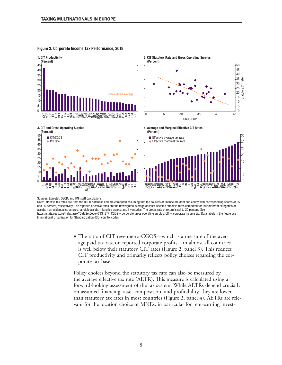

Figure 2. Corporate Income Tax Performance, 2018

Sources: Eurostat; OECD; and IMF staff calculations.

Note: Effective tax rates are from the OECD database and are computed assuming that the sources of finance are debt and equity with corresponding shares of 35 and 36 percent, respectively. The reported effective rates are the unweighted average of asset-specific effective rates computed for four different categories of assets: nonresidential structures, tangible assets, intangible assets, and inventories. The pretax rate of return is set to 20 percent. See https://stats.oecd.org/Index.aspx?DataSetCode=CTS\_ETR. CGOS = corporate gross operating surplus. CIT = corporate income tax. Data labels in the figure use International Organization for Standardization (ISO) country codes.

> • The ratio of CIT revenue-to-CGOS—which is a measure of the average paid tax rate on reported corporate profits—in almost all countries is well below their statutory CIT rates (Figure 2, panel 3). This reduces CIT productivity and primarily reflects policy choices regarding the corporate tax base.

Policy choices beyond the statutory tax rate can also be measured by the average effective tax rate (AETR). This measure is calculated using a forward-looking assessment of the tax system. While AETRs depend crucially on assumed financing, asset composition, and profitability, they are lower than statutory tax rates in most countries (Figure 2, panel 4). AETRs are relevant for the location choice of MNEs, in particular for rent-earning invest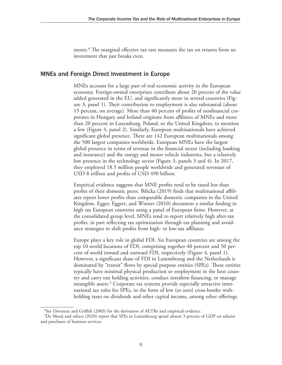ments.<sup>4</sup> The marginal effective tax rate measures the tax on returns from an investment that just breaks even.

#### MNEs and Foreign Direct Investment in Europe

MNEs account for a large part of real economic activity in the European economy. Foreign-owned enterprises contribute about 20 percent of the value added generated in the EU, and significantly more in several countries (Figure 3, panel 1). Their contribution to employment is also substantial (about 15 percent, on average). More than 40 percent of profits of nonfinancial corporates in Hungary and Ireland originate from affiliates of MNEs and more than 20 percent in Luxemburg, Poland, or the United Kingdom, to mention a few (Figure 3, panel 2). Similarly, European multinationals have achieved significant global presence. There are 142 European multinationals among the 500 largest companies worldwide. European MNEs have the largest global presence in terms of revenue in the financial sector (including banking and insurance) and the energy and motor vehicle industries, but a relatively low presence in the technology sector (Figure 3, panels 3 and 4). In 2017, they employed 18.5 million people worldwide and generated revenues of USD 8 trillion and profits of USD 490 billion.

Empirical evidence suggests that MNE profits tend to be taxed less than profits of their domestic peers. Bilicka (2019) finds that multinational affiliates report lower profits than comparable domestic companies in the United Kingdom. Egger, Eggert, and Winner (2010) document a similar finding in high tax European countries using a panel of European firms. However, at the consolidated group level, MNEs tend to report relatively high after-tax profits, in part reflecting tax optimization through tax planning and avoidance strategies to shift profits from high- to low-tax affiliates.

Europe plays a key role in global FDI. Six European countries are among the top 10 world locations of FDI, comprising together 40 percent and 50 percent of world inward and outward FDI, respectively (Figure 4, panel 1). However, a significant share of FDI in Luxembourg and the Netherlands is dominated by "transit" flows by special purpose entities (SPEs). These entities typically have minimal physical production or employment in the host country and carry out holding activities, conduct intrafirm financing, or manage intangible assets.<sup>5</sup> Corporate tax systems provide especially attractive international tax rules for SPEs, in the form of low (or zero) cross-border withholding taxes on dividends and other capital income, among other offerings.

<sup>&</sup>lt;sup>4</sup>See Devereux and Griffith (2003) for the derivation of AETRs and empirical evidence.

<sup>5</sup>De Mooij and others (2020) report that SPEs in Luxembourg spend almost 3 percent of GDP on salaries and purchases of business services.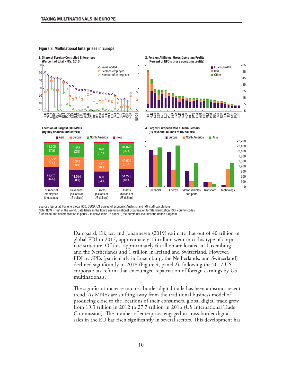

#### Figure 3. Multinational Enterprises in Europe

Sources: Eurostat; Fortune Global 550; OECD; US Bureau of Economic Analysis; and IMF staff calculations.

Note: RoW = rest of the world. Data labels in the figure use International Organization for Standardization (ISO) country codes.

For Malta, the decomposition in panel 2 is unavailable. In panel 2, the purple bar includes the United Kingdom.

Damgaard, Elkjaer, and Johannesen (2019) estimate that out of 40 trillion of global FDI in 2017, approximately 15 trillion went into this type of corporate structure. Of this, approximately 6 trillion are located in Luxemburg and the Netherlands and 1 trillion in Ireland and Switzerland. However, FDI by SPEs (particularly in Luxemburg, the Netherlands, and Switzerland) declined significantly in 2018 (Figure 4, panel 2), following the 2017 US corporate tax reform that encouraged repatriation of foreign earnings by US multinationals.

The significant increase in cross-border digital trade has been a distinct recent trend. As MNEs are shifting away from the traditional business model of producing close to the locations of their consumers, global digital trade grew from 19.3 trillion in 2012 to 27.7 trillion in 2016 (US International Trade Commission). The number of enterprises engaged in cross-border digital sales in the EU has risen significantly in several sectors. This development has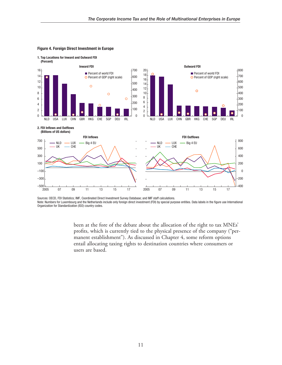

#### Figure 4. Foreign Direct Investment in Europe

1. Top Locations for Inward and Outward FDI

Sources: OECD, FDI Statistics; IMF, Coordinated Direct Investment Survey Database; and IMF staff calculations. Note: Numbers for Luxembourg and the Netherlands include only foreign direct investment (FDI) by special purpose entities. Data labels in the figure use International Organization for Standardization (ISO) country codes.

> been at the fore of the debate about the allocation of the right to tax MNEs' profits, which is currently tied to the physical presence of the company ("permanent establishment"). As discussed in Chapter 4, some reform options entail allocating taxing rights to destination countries where consumers or users are based.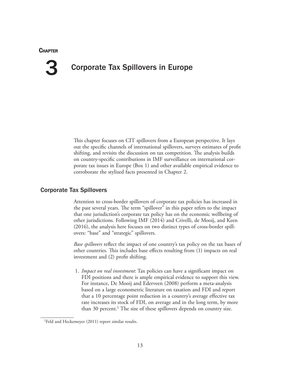#### **CHAPTER**

3

## Corporate Tax Spillovers in Europe

This chapter focuses on CIT spillovers from a European perspective. It lays out the specific channels of international spillovers, surveys estimates of profit shifting, and revisits the discussion on tax competition. The analysis builds on country-specific contributions in IMF surveillance on international corporate tax issues in Europe (Box 1) and other available empirical evidence to corroborate the stylized facts presented in Chapter 2.

#### Corporate Tax Spillovers

Attention to cross-border spillovers of corporate tax policies has increased in the past several years. The term "spillover" in this paper refers to the impact that one jurisdiction's corporate tax policy has on the economic wellbeing of other jurisdictions. Following IMF (2014) and Crivelli, de Mooij, and Keen (2016), the analysis here focuses on two distinct types of cross-border spillovers: "base" and "strategic" spillovers.

*Base spillovers* reflect the impact of one country's tax policy on the tax bases of other countries. This includes base effects resulting from (1) impacts on real investment and (2) profit shifting.

1. *Impact on real investment*: Tax policies can have a significant impact on FDI positions and there is ample empirical evidence to support this view. For instance, De Mooij and Ederveen (2008) perform a meta-analysis based on a large econometric literature on taxation and FDI and report that a 10 percentage point reduction in a country's average effective tax rate increases its stock of FDI, on average and in the long term, by more than 30 percent.<sup>1</sup> The size of these spillovers depends on country size.

<sup>1</sup>Feld and Heckemeyer (2011) report similar results.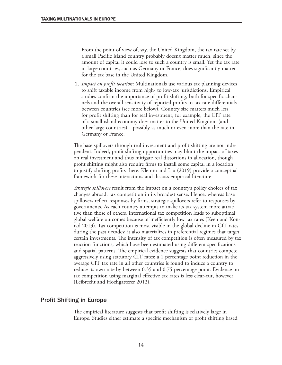From the point of view of, say, the United Kingdom, the tax rate set by a small Pacific island country probably doesn't matter much, since the amount of capital it could lose to such a country is small. Yet the tax rate in large countries, such as Germany or France, does significantly matter for the tax base in the United Kingdom.

2. *Impact on profit location*: Multinationals use various tax planning devices to shift taxable income from high- to low-tax jurisdictions. Empirical studies confirm the importance of profit shifting, both for specific channels and the overall sensitivity of reported profits to tax rate differentials between countries (see more below). Country size matters much less for profit shifting than for real investment, for example, the CIT rate of a small island economy does matter to the United Kingdom (and other large countries)—possibly as much or even more than the rate in Germany or France.

The base spillovers through real investment and profit shifting are not independent. Indeed, profit shifting opportunities may blunt the impact of taxes on real investment and thus mitigate real distortions in allocation, though profit shifting might also require firms to install some capital in a location to justify shifting profits there. Klemm and Liu (2019) provide a conceptual framework for these interactions and discuss empirical literature.

*Strategic spillovers* result from the impact on a country's policy choices of tax changes abroad: tax competition in its broadest sense. Hence, whereas base spillovers reflect responses by firms, strategic spillovers refer to responses by governments. As each country attempts to make its tax system more attractive than those of others, international tax competition leads to suboptimal global welfare outcomes because of inefficiently low tax rates (Keen and Konrad 2013). Tax competition is most visible in the global decline in CIT rates during the past decades; it also materializes in preferential regimes that target certain investments. The intensity of tax competition is often measured by tax reaction functions, which have been estimated using different specifications and spatial patterns. The empirical evidence suggests that countries compete aggressively using statutory CIT rates: a 1 percentage point reduction in the average CIT tax rate in all other countries is found to induce a country to reduce its own rate by between 0.35 and 0.75 percentage point. Evidence on tax competition using marginal effective tax rates is less clear-cut, however (Leibrecht and Hochgatterer 2012).

#### Profit Shifting in Europe

The empirical literature suggests that profit shifting is relatively large in Europe. Studies either estimate a specific mechanism of profit shifting based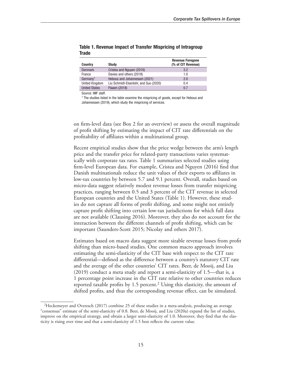| <b>Country</b>       | <b>Study</b>                          | <b>Revenue Foregone</b><br>(% of CIT Revenue) |
|----------------------|---------------------------------------|-----------------------------------------------|
| <b>Denmark</b>       | Cristea and Nguyen (2016)             | 3.2                                           |
| France               | Davies and others (2018)              | 1.0                                           |
| Germany <sup>1</sup> | Hebous and Johannessen (2021)         | 2.0                                           |
| United Kingdom       | Liu Schmidt-Eisenlohr, and Guo (2020) | 0.4                                           |
| <b>United States</b> | Flaaen (2018)                         | 0.7                                           |
|                      |                                       |                                               |

Table 1. Revenue Impact of Transfer Mispricing of Intragroup **Trade** 

Source: IMF staff.

<sup>1</sup> The studies listed in the table examine the mispricing of goods, except for Hebous and Johannessen (2019), which study the mispricing of services.

on firm-level data (see Box 2 for an overview) or assess the overall magnitude of profit shifting by estimating the impact of CIT rate differentials on the profitability of affiliates within a multinational group.

Recent empirical studies show that the price wedge between the arm's length price and the transfer price for related-party transactions varies systematically with corporate tax rates. Table 1 summarizes selected studies using firm-level European data. For example, Cristea and Nguyen (2016) find that Danish multinationals reduce the unit values of their exports to affiliates in low-tax countries by between 5.7 and 9.1 percent. Overall, studies based on micro-data suggest relatively modest revenue losses from transfer mispricing practices, ranging between 0.5 and 3 percent of the CIT revenue in selected European countries and the United States (Table 1). However, these studies do not capture all forms of profit shifting, and some might not entirely capture profit shifting into certain low-tax jurisdictions for which full data are not available (Clausing 2016). Moreover, they also do not account for the interaction between the different channels of profit shifting, which can be important (Saunders-Scott 2015; Nicolay and others 2017).

Estimates based on macro data suggest more sizable revenue losses from profit shifting than micro-based studies. One common macro approach involves estimating the semi-elasticity of the CIT base with respect to the CIT rate differential—defined as the difference between a country's statutory CIT rate and the average of the other countries' CIT rates. Beer, de Mooij, and Liu (2019) conduct a meta study and report a semi-elasticity of 1.5—that is, a 1 percentage point increase in the CIT rate relative to other countries reduces reported taxable profits by 1.5 percent.<sup>2</sup> Using this elasticity, the amount of shifted profits, and thus the corresponding revenue effect, can be simulated.

<sup>2</sup>Heckemeyer and Overesch (2017) combine 25 of these studies in a meta-analysis, producing an average "consensus" estimate of the semi-elasticity of 0.8. Beer, de Mooij, and Liu (2020a) expand the list of studies, improve on the empirical strategy, and obtain a larger semi-elasticity of 1.0. Moreover, they find that the elasticity is rising over time and that a semi-elasticity of 1.5 best reflects the current value.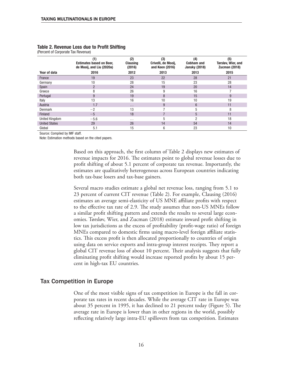|                       | (1)<br><b>Estimates based on Beer,</b><br>de Mooij, and Liu (2020a) | (2)<br><b>Clausing</b><br>(2016) | (3)<br>Crivelli, de Mooij,<br>and Keen (2016) | (4)<br><b>Cobham and</b><br><b>Jansky (2018)</b> | (5)<br>Tørsløv, Wier, and<br><b>Zucman (2018)</b> |
|-----------------------|---------------------------------------------------------------------|----------------------------------|-----------------------------------------------|--------------------------------------------------|---------------------------------------------------|
| Year of data          | 2016                                                                | 2012                             | 2013                                          | 2013                                             | 2015                                              |
| France                | 19                                                                  | 23                               | 22                                            | 28                                               | 21                                                |
| Germany               | 10                                                                  | 28                               | 15                                            | 23                                               | 28                                                |
| Spain                 | $\overline{2}$                                                      | 24                               | 19                                            | 20                                               | 14                                                |
| Greece                | 8                                                                   | 26                               | 9                                             | 16                                               |                                                   |
| Portugal              | 9                                                                   | 19                               | 8                                             | 15                                               | 9                                                 |
| Italy                 | 13                                                                  | 16                               | 10                                            | 10                                               | 19                                                |
| Austria               | 1.7                                                                 | $\cdots$                         | 9                                             | $6\phantom{1}6$                                  | 11                                                |
| <b>Denmark</b>        | $^{-2}$                                                             | 13                               |                                               | 5                                                | 8                                                 |
| Finland               | $-5$                                                                | 18                               |                                               | 5                                                | 11                                                |
| <b>United Kingdom</b> | $-5.6$                                                              | $\cdots$                         | 5                                             | റ                                                | 18                                                |
| <b>United States</b>  | 29                                                                  | 26                               | 14                                            | 54                                               | 14                                                |
| Global                | 5.1                                                                 | 15                               | 6                                             | 23                                               | 10                                                |

#### Table 2. Revenue Loss due to Profit Shifting

(Percent of Corporate Tax Revenue)

Source: Compiled by IMF staff.

Note: Estimation methods based on the cited papers.

Based on this approach, the first column of Table 2 displays new estimates of revenue impacts for 2016. The estimates point to global revenue losses due to profit shifting of about 5.1 percent of corporate tax revenue. Importantly, the estimates are qualitatively heterogenous across European countries indicating both tax-base losers and tax-base gainers.

Several macro studies estimate a global net revenue loss, ranging from 5.1 to 23 percent of current CIT revenue (Table 2). For example, Clausing (2016) estimates an average semi-elasticity of US MNE affiliate profits with respect to the effective tax rate of 2.9. The study assumes that non-US MNEs follow a similar profit shifting pattern and extends the results to several large economies. Tørsløv, Wier, and Zucman (2018) estimate inward profit shifting in low tax jurisdictions as the excess of profitability (profit-wage ratio) of foreign MNEs compared to domestic firms using macro-level foreign affiliate statistics. This excess profit is then allocated proportionally to countries of origin using data on service exports and intra-group interest receipts. They report a global CIT revenue loss of about 10 percent. Their analysis suggests that fully eliminating profit shifting would increase reported profits by about 15 percent in high-tax EU countries.

#### Tax Competition in Europe

One of the most visible signs of tax competition in Europe is the fall in corporate tax rates in recent decades. While the average CIT rate in Europe was about 35 percent in 1995, it has declined to 21 percent today (Figure 5). The average rate in Europe is lower than in other regions in the world, possibly reflecting relatively large intra-EU spillovers from tax competition. Estimates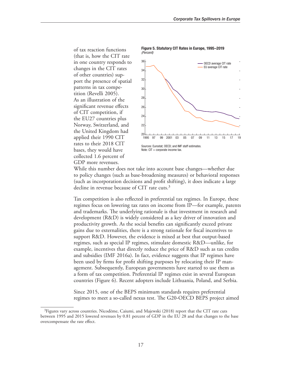of tax reaction functions (that is, how the CIT rate in one country responds to changes in the CIT rates of other countries) support the presence of spatial patterns in tax competition (Revelli 2005). As an illustration of the significant revenue effects of CIT competition, if the EU27 countries plus Norway, Switzerland, and the United Kingdom had applied their 1990 CIT rates to their 2018 CIT bases, they would have collected 1.6 percent of GDP more revenues.



Figure 5. Statutory CIT Rates in Europe, 1995–2019 *(Percent)*

While this number does not take into account base changes—whether due to policy changes (such as base-broadening measures) or behavioral responses (such as incorporation decisions and profit shifting), it does indicate a large decline in revenue because of CIT rate cuts.<sup>3</sup>

Tax competition is also reflected in preferential tax regimes. In Europe, these regimes focus on lowering tax rates on income from IP—for example, patents and trademarks. The underlying rationale is that investment in research and development (R&D) is widely considered as a key driver of innovation and productivity growth. As the social benefits can significantly exceed private gains due to externalities, there is a strong rationale for fiscal incentives to support R&D. However, the evidence is mixed at best that output-based regimes, such as special IP regimes, stimulate domestic R&D—unlike, for example, incentives that directly reduce the price of R&D such as tax credits and subsidies (IMF 2016a). In fact, evidence suggests that IP regimes have been used by firms for profit shifting purposes by relocating their IP management. Subsequently, European governments have started to use them as a form of tax competition. Preferential IP regimes exist in several European countries (Figure 6). Recent adopters include Lithuania, Poland, and Serbia.

Since 2015, one of the BEPS minimum standards requires preferential regimes to meet a so-called nexus test. The G20-OECD BEPS project aimed

<sup>&</sup>lt;sup>3</sup>Figures vary across countries. Nicodème, Caiumi, and Majewski (2018) report that the CIT rate cuts between 1995 and 2015 lowered revenues by 0.81 percent of GDP in the EU 28 and that changes to the base overcompensate the rate effect.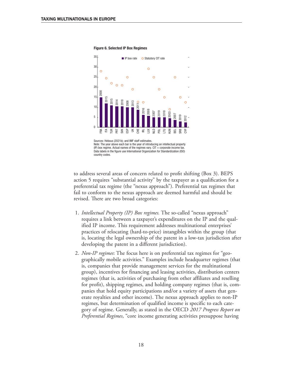

Figure 6. Selected IP Box Regimes

Data labels in the figure use International Organization for Standardization (ISO)

to address several areas of concern related to profit shifting (Box 3). BEPS action 5 requires "substantial activity" by the taxpayer as a qualification for a preferential tax regime (the "nexus approach"). Preferential tax regimes that fail to conform to the nexus approach are deemed harmful and should be revised. There are two broad categories:

- 1. *Intellectual Property (IP) Box regimes.* The so-called "nexus approach" requires a link between a taxpayer's expenditures on the IP and the qualified IP income. This requirement addresses multinational enterprises' practices of relocating (hard-to-price) intangibles within the group (that is, locating the legal ownership of the patent in a low-tax jurisdiction after developing the patent in a different jurisdiction).
- 2. *Non-IP regimes*: The focus here is on preferential tax regimes for "geographically mobile activities." Examples include headquarter regimes (that is, companies that provide management services for the multinational group), incentives for financing and leasing activities, distribution centers regimes (that is, activities of purchasing from other affiliates and reselling for profit), shipping regimes, and holding company regimes (that is, companies that hold equity participations and/or a variety of assets that generate royalties and other income). The nexus approach applies to non-IP regimes, but determination of qualified income is specific to each category of regime. Generally, as stated in the OECD *2017 Progress Report on Preferential Regimes*, "core income generating activities presuppose having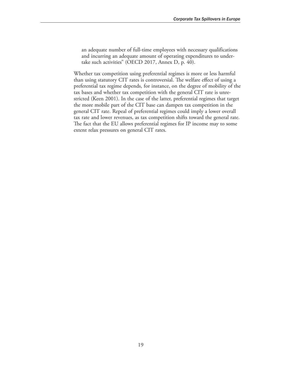an adequate number of full-time employees with necessary qualifications and incurring an adequate amount of operating expenditures to undertake such activities" (OECD 2017, Annex D, p. 40).

Whether tax competition using preferential regimes is more or less harmful than using statutory CIT rates is controversial. The welfare effect of using a preferential tax regime depends, for instance, on the degree of mobility of the tax bases and whether tax competition with the general CIT rate is unrestricted (Keen 2001). In the case of the latter, preferential regimes that target the more mobile part of the CIT base can dampen tax competition in the general CIT rate. Repeal of preferential regimes could imply a lower overall tax rate and lower revenues, as tax competition shifts toward the general rate. The fact that the EU allows preferential regimes for IP income may to some extent relax pressures on general CIT rates.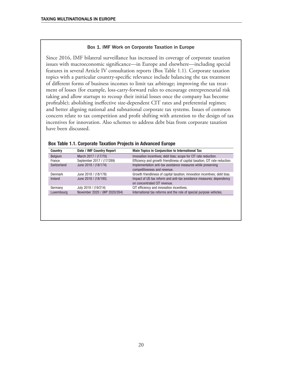#### Box 1. IMF Work on Corporate Taxation in Europe

Since 2016, IMF bilateral surveillance has increased its coverage of corporate taxation issues with macroeconomic significance—in Europe and elsewhere—including special features in several Article IV consultation reports (Box Table 1.1). Corporate taxation topics with a particular country-specific relevance include balancing the tax treatment of different forms of business incomes to limit tax arbitrage; improving the tax treatment of losses (for example, loss-carry-forward rules to encourage entrepreneurial risk taking and allow startups to recoup their initial losses once the company has become profitable); abolishing ineffective size-dependent CIT rates and preferential regimes; and better aligning national and subnational corporate tax systems. Issues of common concern relate to tax competition and profit shifting with attention to the design of tax incentives for innovation. Also schemes to address debt bias from corporate taxation have been discussed.

| <b>Country</b> | Date / IMF Country Report     | <b>Main Topics in Conjunction to International Tax</b>                      |
|----------------|-------------------------------|-----------------------------------------------------------------------------|
| <b>Belgium</b> | March 2017 / (17/70)          | Innovation incentives; debt bias; scope for CIT rate reduction.             |
| France         | September 2017 / (17/289)     | Efficiency and growth friendliness of capital taxation; CIT rate reduction. |
| Switzerland    | June 2018 / (18/174)          | Implementation anti-tax avoidance measures while preserving                 |
|                |                               | competitiveness and revenue.                                                |
| <b>Denmark</b> | June 2018 / (18/178)          | Growth friendliness of capital taxation; innovation incentives; debt bias.  |
| Ireland        | June 2018 / (18/195)          | Impact of US tax reform and anti-tax avoidance measures; dependency         |
|                |                               | on concentrated CIT revenue.                                                |
| Germany        | July 2019 / (19/214)          | CIT efficiency and innovation incentives.                                   |
| Luxembourg     | November 2020 / (WP 2020/264) | International tax reforms and the role of special purpose vehicles.         |

#### Box Table 1.1. Corporate Taxation Projects in Advanced Europe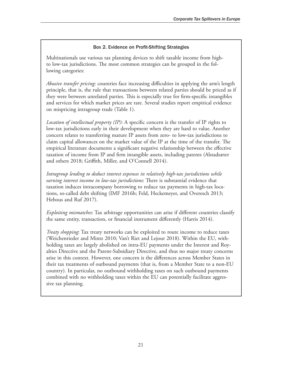#### Box 2. Evidence on Profit-Shifting Strategies

Multinationals use various tax planning devices to shift taxable income from highto low-tax jurisdictions. The most common strategies can be grouped in the following categories:

*Abusive transfer pricing*: countries face increasing difficulties in applying the arm's length principle, that is, the rule that transactions between related parties should be priced as if they were between unrelated parties. This is especially true for firm-specific intangibles and services for which market prices are rare. Several studies report empirical evidence on mispricing intragroup trade (Table 1).

*Location of intellectual property (IP)*: A specific concern is the transfer of IP rights to low-tax jurisdictions early in their development when they are hard to value. Another concern relates to transferring mature IP assets from zero- to low-tax jurisdictions to claim capital allowances on the market value of the IP at the time of the transfer. The empirical literature documents a significant negative relationship between the effective taxation of income from IP and firm intangible assets, including patents (Alstadsæter and others 2018; Griffith, Miller, and O'Connell 2014).

*Intragroup lending to deduct interest expenses in relatively high-tax jurisdictions while earning interest income in low-tax jurisdictions*: There is substantial evidence that taxation induces intracompany borrowing to reduce tax payments in high-tax locations, so-called debt shifting (IMF 2016b; Feld, Heckemeyer, and Overesch 2013; Hebous and Ruf 2017).

*Exploiting mismatches*: Tax arbitrage opportunities can arise if different countries classify the same entity, transaction, or financial instrument differently (Harris 2014).

*Treaty shopping*: Tax treaty networks can be exploited to route income to reduce taxes (Weichenrieder and Mintz 2010; Van't Riet and Lejour 2018). Within the EU, withholding taxes are largely abolished on intra-EU payments under the Interest and Royalties Directive and the Parent-Subsidiary Directive, and thus no major treaty concerns arise in this context. However, one concern is the differences across Member States in their tax treatments of outbound payments (that is, from a Member State to a non-EU country). In particular, no outbound withholding taxes on such outbound payments combined with no withholding taxes within the EU can potentially facilitate aggressive tax planning.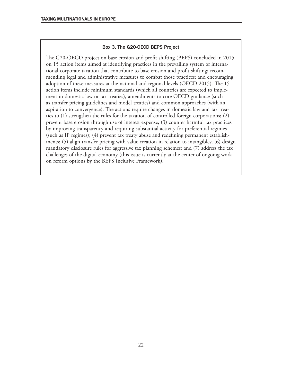#### Box 3. The G20-OECD BEPS Project

The G20-OECD project on base erosion and profit shifting (BEPS) concluded in 2015 on 15 action items aimed at identifying practices in the prevailing system of international corporate taxation that contribute to base erosion and profit shifting; recommending legal and administrative measures to combat those practices; and encouraging adoption of these measures at the national and regional levels (OECD 2015). The 15 action items include minimum standards (which all countries are expected to implement in domestic law or tax treaties), amendments to core OECD guidance (such as transfer pricing guidelines and model treaties) and common approaches (with an aspiration to convergence). The actions require changes in domestic law and tax treaties to (1) strengthen the rules for the taxation of controlled foreign corporations; (2) prevent base erosion through use of interest expense; (3) counter harmful tax practices by improving transparency and requiring substantial activity for preferential regimes (such as IP regimes); (4) prevent tax treaty abuse and redefining permanent establishments; (5) align transfer pricing with value creation in relation to intangibles; (6) design mandatory disclosure rules for aggressive tax planning schemes; and (7) address the tax challenges of the digital economy (this issue is currently at the center of ongoing work on reform options by the BEPS Inclusive Framework).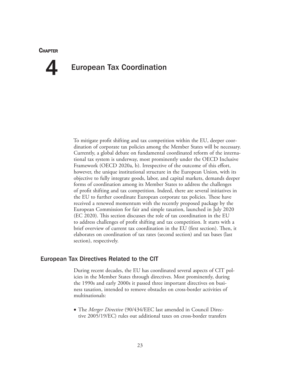#### **CHAPTER**

## European Tax Coordination 4

To mitigate profit shifting and tax competition within the EU, deeper coordination of corporate tax policies among the Member States will be necessary. Currently, a global debate on fundamental coordinated reform of the international tax system is underway, most prominently under the OECD Inclusive Framework (OECD 2020a, b). Irrespective of the outcome of this effort, however, the unique institutional structure in the European Union, with its objective to fully integrate goods, labor, and capital markets, demands deeper forms of coordination among its Member States to address the challenges of profit shifting and tax competition. Indeed, there are several initiatives in the EU to further coordinate European corporate tax policies. These have received a renewed momentum with the recently proposed package by the European Commission for fair and simple taxation, launched in July 2020 (EC 2020). This section discusses the role of tax coordination in the EU to address challenges of profit shifting and tax competition. It starts with a brief overview of current tax coordination in the EU (first section). Then, it elaborates on coordination of tax rates (second section) and tax bases (last section), respectively.

#### European Tax Directives Related to the CIT

During recent decades, the EU has coordinated several aspects of CIT policies in the Member States through directives. Most prominently, during the 1990s and early 2000s it passed three important directives on business taxation, intended to remove obstacles on cross-border activities of multinationals:

• The *Merger Directive* (90/434/EEC last amended in Council Directive 2005/19/EC) rules out additional taxes on cross-border transfers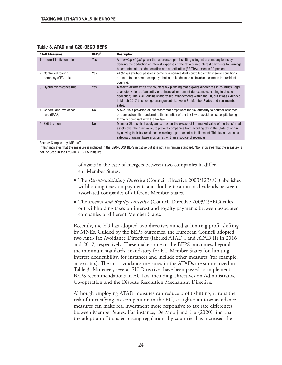| <b>ATAD Measures</b>                        | BEPS <sup>1</sup> | <b>Description</b>                                                                                                                                                                                                                                                                                                                                                                |
|---------------------------------------------|-------------------|-----------------------------------------------------------------------------------------------------------------------------------------------------------------------------------------------------------------------------------------------------------------------------------------------------------------------------------------------------------------------------------|
| 1. Interest limitation rule                 | <b>Yes</b>        | An earning-stripping rule that addresses profit shifting using intra-company loans by<br>denying the deduction of interest expenses if the ratio of net interest payments to Earnings<br>before interest, tax, depreciation and amortization (EBITDA) exceeds 30 percent.                                                                                                         |
| 2. Controlled foreign<br>company (CFC) rule | Yes               | CFC rules attribute passive income of a non-resident controlled entity, if some conditions<br>are met, to the parent company (that is, to be deemed as taxable income in the resident<br>country).                                                                                                                                                                                |
| 3. Hybrid mismatches rule                   | Yes               | A hybrid mismatches rule counters tax planning that exploits differences in countries' legal<br>characterizations of an entity or a financial instrument (for example, leading to double<br>deduction). The ATAD originally addressed arrangements within the EU, but it was extended<br>in March 2017 to coverage arrangements between EU Member States and non-member<br>sates. |
| 4. General anti-avoidance<br>rule (GAAR)    | No                | A GAAR is a provision of last resort that empowers the tax authority to counter schemes<br>or transactions that undermine the intention of the tax law to avoid taxes, despite being<br>formally compliant with the tax law.                                                                                                                                                      |
| 5. Exit taxation                            | <b>No</b>         | Member States shall apply an exit tax on the excess of the market value of the transferred<br>assets over their tax value, to prevent companies from avoiding tax in the State of origin<br>by moving their tax residence or closing a permanent establishment. This tax serves as a<br>safequard against base erosion rather than a source of revenues.                          |

#### Table 3. ATAD and G20-OECD BEPS

Source: Compiled by IMF staff.

<sup>1</sup>"Yes" indicates that the measure is included in the G20-OECD BEPS initiative but it is not a minimum standard. "No" indicates that the measure is not included in the G20-OECD BEPS initiative.

> of assets in the case of mergers between two companies in different Member States.

- The *Parent-Subsidiary Directive* (Council Directive 2003/123/EC) abolishes withholding taxes on payments and double taxation of dividends between associated companies of different Member States.
- The *Interest and Royalty Directive* (Council Directive 2003/49/EC) rules out withholding taxes on interest and royalty payments between associated companies of different Member States.

Recently, the EU has adopted two directives aimed at limiting profit shifting by MNEs. Guided by the BEPS outcomes, the European Council adopted two Anti-Tax Avoidance Directives (labeled ATAD I and ATAD II) in 2016 and 2017, respectively. These make some of the BEPS outcomes, beyond the minimum standards, mandatory for EU Member States (on limiting interest deductibility, for instance) and include other measures (for example, an exit tax). The anti-avoidance measures in the ATADs are summarized in Table 3. Moreover, several EU Directives have been passed to implement BEPS recommendations in EU law, including Directives on Administrative Co-operation and the Dispute Resolution Mechanism Directive.

Although employing ATAD measures can reduce profit shifting, it runs the risk of intensifying tax competition in the EU, as tighter anti-tax avoidance measures can make real investment more responsive to tax rate differences between Member States. For instance, De Mooij and Liu (2020) find that the adoption of transfer pricing regulations by countries has increased the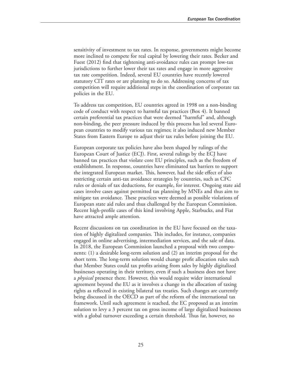sensitivity of investment to tax rates. In response, governments might become more inclined to compete for real capital by lowering their rates. Becker and Fuest (2012) find that tightening anti-avoidance rules can prompt low-tax jurisdictions to further lower their tax rates and engage in more aggressive tax rate competition. Indeed, several EU countries have recently lowered statutory CIT rates or are planning to do so. Addressing concerns of tax competition will require additional steps in the coordination of corporate tax policies in the EU.

To address tax competition, EU countries agreed in 1998 on a non-binding code of conduct with respect to harmful tax practices (Box 4). It banned certain preferential tax practices that were deemed "harmful" and, although non-binding, the peer pressure induced by this process has led several European countries to modify various tax regimes; it also induced new Member States from Eastern Europe to adjust their tax rules before joining the EU.

European corporate tax policies have also been shaped by rulings of the European Court of Justice (ECJ). First, several rulings by the ECJ have banned tax practices that violate core EU principles, such as the freedom of establishment. In response, countries have eliminated tax barriers to support the integrated European market. This, however, had the side effect of also restricting certain anti-tax avoidance strategies by countries, such as CFC rules or denials of tax deductions, for example, for interest. Ongoing state aid cases involve cases against permitted tax planning by MNEs and thus aim to mitigate tax avoidance. These practices were deemed as possible violations of European state aid rules and thus challenged by the European Commission. Recent high-profile cases of this kind involving Apple, Starbucks, and Fiat have attracted ample attention.

Recent discussions on tax coordination in the EU have focused on the taxation of highly digitalized companies. This includes, for instance, companies engaged in online advertising, intermediation services, and the sale of data. In 2018, the European Commission launched a proposal with two components: (1) a desirable long-term solution and (2) an interim proposal for the short term. The long-term solution would change profit allocation rules such that Member States could tax profits arising from sales by highly digitalized businesses operating in their territory, even if such a business does not have a *physical* presence there. However, this would require wider international agreement beyond the EU as it involves a change in the allocation of taxing rights as reflected in existing bilateral tax treaties. Such changes are currently being discussed in the OECD as part of the reform of the international tax framework. Until such agreement is reached, the EC proposed as an interim solution to levy a 3 percent tax on gross income of large digitalized businesses with a global turnover exceeding a certain threshold. Thus far, however, no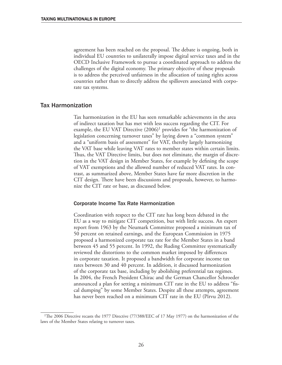agreement has been reached on the proposal. The debate is ongoing, both in individual EU countries to unilaterally impose digital service taxes and in the OECD Inclusive Framework to pursue a coordinated approach to address the challenges of the digital economy. The primary objective of these proposals is to address the perceived unfairness in the allocation of taxing rights across countries rather than to directly address the spillovers associated with corporate tax systems.

#### Tax Harmonization

Tax harmonization in the EU has seen remarkable achievements in the area of indirect taxation but has met with less success regarding the CIT. For example, the EU VAT Directive  $(2006)^1$  provides for "the harmonization of legislation concerning turnover taxes" by laying down a "common system" and a "uniform basis of assessment" for VAT, thereby largely harmonizing the VAT base while leaving VAT rates to member states within certain limits. Thus, the VAT Directive limits, but does not eliminate, the margin of discretion in the VAT design in Member States, for example by defining the scope of VAT exemptions and the allowed number of reduced VAT rates. In contrast, as summarized above, Member States have far more discretion in the CIT design. There have been discussions and proposals, however, to harmonize the CIT rate or base, as discussed below.

#### Corporate Income Tax Rate Harmonization

Coordination with respect to the CIT rate has long been debated in the EU as a way to mitigate CIT competition, but with little success. An expert report from 1963 by the Neumark Committee proposed a minimum tax of 50 percent on retained earnings, and the European Commission in 1975 proposed a harmonized corporate tax rate for the Member States in a band between 45 and 55 percent. In 1992, the Ruding Committee systematically reviewed the distortions to the common market imposed by differences in corporate taxation. It proposed a bandwidth for corporate income tax rates between 30 and 40 percent. In addition, it discussed harmonization of the corporate tax base, including by abolishing preferential tax regimes. In 2004, the French President Chirac and the German Chancellor Schroeder announced a plan for setting a minimum CIT rate in the EU to address "fiscal dumping" by some Member States. Despite all these attempts, agreement has never been reached on a minimum CIT rate in the EU (Pîrvu 2012).

<sup>&</sup>lt;sup>1</sup>The 2006 Directive recasts the 1977 Directive (77/388/EEC of 17 May 1977) on the harmonization of the laws of the Member States relating to turnover taxes.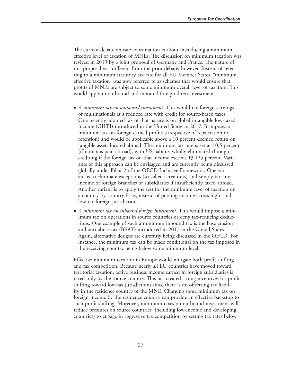The current debate on rate coordination is about introducing a minimum effective level of taxation of MNEs. The discussion on minimum taxation was revived in 2019 by a joint proposal of Germany and France. The nature of this proposal was different from the prior debate, however. Instead of referring to a minimum statutory tax rate for all EU Member States, "minimum effective taxation" was now referred to as schemes that would ensure that profits of MNEs are subject to some minimum overall level of taxation. This would apply to outbound and inbound foreign direct investment.

- *A minimum tax on outbound investment*. This would tax foreign earnings of multinationals at a reduced rate with credit for source-based taxes. One recently adopted tax of that nature is on global intangible low-taxed income (GILTI) introduced in the United States in 2017. It imposes a minimum tax on foreign earned profits (irrespective of repatriation or retention) and would be applicable above a 10 percent deemed return on tangible assets located abroad. The minimum tax rate is set at 10.5 percent (if no tax is paid abroad), with US liability wholly eliminated through crediting if the foreign tax on that income exceeds 13.125 percent. Variants of this approach can be envisaged and are currently being discussed globally under Pillar 2 of the OECD Inclusive Framework. One variant is to eliminate exceptions (so-called carve-outs) and simply tax any income of foreign branches or subsidiaries if insufficiently taxed abroad. Another variant is to apply the test for the minimum level of taxation on a country-by-country basis, instead of pooling income across high- and low-tax foreign jurisdictions.
- *A minimum tax on inbound foreign investment*. This would impose a minimum tax on operations in source countries or deny tax-reducing deductions. One example of such a minimum inbound tax is the base erosion and anti-abuse tax (BEAT) introduced in 2017 in the United States. Again, alternative designs are currently being discussed in the OECD. For instance, the minimum tax can be made conditional on the tax imposed in the receiving country being below some minimum level.

Effective minimum taxation in Europe would mitigate both profit shifting and tax competition. Because nearly all EU countries have moved toward territorial taxation, active business income earned in foreign subsidiaries is taxed only by the source country. This has created strong incentives for profit shifting toward low-tax jurisdictions since there is no offsetting tax liability in the residence country of the MNE. Charging some minimum tax on foreign income by the residence country can provide an effective backstop to such profit shifting. Moreover, minimum taxes on outbound investment will reduce pressures on source countries (including low-income and developing countries) to engage in aggressive tax competition by setting tax rates below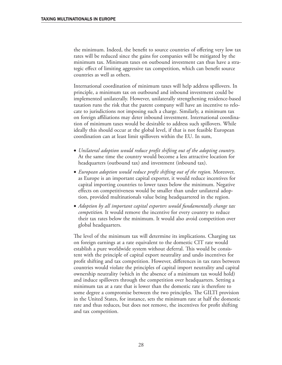the minimum. Indeed, the benefit to source countries of offering very low tax rates will be reduced since the gains for companies will be mitigated by the minimum tax. Minimum taxes on outbound investment can thus have a strategic effect of limiting aggressive tax competition, which can benefit source countries as well as others.

International coordination of minimum taxes will help address spillovers. In principle, a minimum tax on outbound and inbound investment could be implemented unilaterally. However, unilaterally strengthening residence-based taxation runs the risk that the parent company will have an incentive to relocate to jurisdictions not imposing such a charge. Similarly, a minimum tax on foreign affiliations may deter inbound investment. International coordination of minimum taxes would be desirable to address such spillovers. While ideally this should occur at the global level, if that is not feasible European coordination can at least limit spillovers within the EU. In sum,

- *Unilateral adoption would reduce profit shifting out of the adopting country*. At the same time the country would become a less attractive location for headquarters (outbound tax) and investment (inbound tax).
- *European adoption would reduce profit shifting out of the region*. Moreover, as Europe is an important capital exporter, it would reduce incentives for capital importing countries to lower taxes below the minimum. Negative effects on competitiveness would be smaller than under unilateral adoption, provided multinationals value being headquartered in the region.
- *Adoption by all important capital exporters would fundamentally change tax competition.* It would remove the incentive for every country to reduce their tax rates below the minimum. It would also avoid competition over global headquarters.

The level of the minimum tax will determine its implications. Charging tax on foreign earnings at a rate equivalent to the domestic CIT rate would establish a pure worldwide system without deferral. This would be consistent with the principle of capital export neutrality and undo incentives for profit shifting and tax competition. However, differences in tax rates between countries would violate the principles of capital import neutrality and capital ownership neutrality (which in the absence of a minimum tax would hold) and induce spillovers through the competition over headquarters. Setting a minimum tax at a rate that is lower than the domestic rate is therefore to some degree a compromise between the two principles. The GILTI provision in the United States, for instance, sets the minimum rate at half the domestic rate and thus reduces, but does not remove, the incentives for profit shifting and tax competition.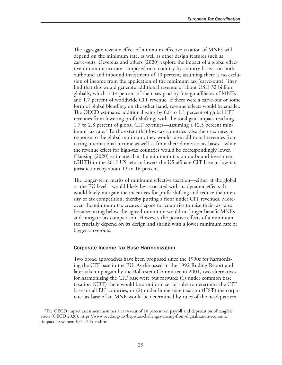The aggregate revenue effect of minimum effective taxation of MNEs will depend on the minimum rate, as well as other design features such as carve-outs. Devereux and others (2020) explore the impact of a global effective minimum tax rate—imposed on a country-by-country basis—on both outbound and inbound investment of 10 percent, assuming there is no exclusion of income from the application of the minimum tax (carve-outs). They find that this would generate additional revenue of about USD 32 billion globally, which is 14 percent of the taxes paid by foreign affiliates of MNEs and 1.7 percent of worldwide CIT revenue. If there were a carve-out or some form of global blending, on the other hand, revenue effects would be smaller. The OECD estimates additional gains by 0.8 to 1.1 percent of global CIT revenues from lowering profit shifting, with the total gain impact reaching 1.7 to 2.8 percent of global CIT revenues—assuming a 12.5 percent minimum tax rate.<sup>2</sup> To the extent that low-tax countries raise their tax rates in response to the global minimum, they would raise additional revenues from taxing international income as well as from their domestic tax bases—while the revenue effect for high-tax countries would be correspondingly lower. Clausing (2020) estimates that the minimum tax on outbound investment (GILTI) in the 2017 US reform lowers the US affiliate CIT base in low-tax jurisdictions by about 12 to 16 percent.

The longer-term merits of minimum effective taxation—either at the global or the EU level—would likely be associated with its dynamic effects. It would likely mitigate the incentives for profit shifting and reduce the intensity of tax competition, thereby putting a floor under CIT revenues. Moreover, the minimum tax creates a space for countries to raise their tax rates because taxing below the agreed minimum would no longer benefit MNEs and mitigate tax competition. However, the positive effects of a minimum tax crucially depend on its design and shrink with a lower minimum rate or bigger carve-outs.

#### Corporate Income Tax Base Harmonization

Two broad approaches have been proposed since the 1990s for harmonizing the CIT base in the EU. As discussed in the 1992 Ruding Report and later taken up again by the Bolkestein Committee in 2001, two alternatives for harmonizing the CIT base were put forward: (1) under common base taxation (CBT) there would be a uniform set of rules to determine the CIT base for all EU countries, or (2) under home state taxation (HST) the corporate tax base of an MNE would be determined by rules of the headquarters

<sup>2</sup>The OECD impact assessment assumes a carve-out of 10 percent on payroll and deprecation of tangible assets (OECD 2020): [https://www.oecd.org/tax/beps/tax-challenges-arising-from-digitalisation-economic](https://www.oecd.org/tax/beps/tax-challenges-arising-from-digitalisation-economic-impact-assessment-0e3cc2d4-en.htm) [-impact-assessment-0e3cc2d4-en.htm](https://www.oecd.org/tax/beps/tax-challenges-arising-from-digitalisation-economic-impact-assessment-0e3cc2d4-en.htm)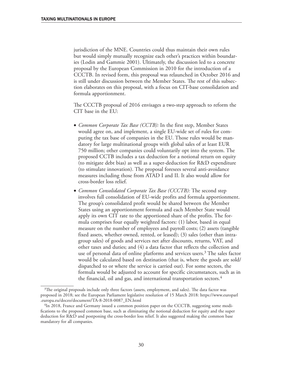jurisdiction of the MNE. Countries could thus maintain their own rules but would simply mutually recognize each other's practices within boundaries (Lodin and Gammie 2001). Ultimately, the discussion led to a concrete proposal by the European Commission in 2010 for the introduction of a CCCTB. In revised form, this proposal was relaunched in October 2016 and is still under discussion between the Member States. The rest of this subsection elaborates on this proposal, with a focus on CIT-base consolidation and formula apportionment.

The CCCTB proposal of 2016 envisages a two-step approach to reform the CIT base in the EU:

- *Common Corporate Tax Base (CCTB):* In the first step, Member States would agree on, and implement, a single EU-wide set of rules for computing the tax base of companies in the EU. Those rules would be mandatory for large multinational groups with global sales of at least EUR 750 million; other companies could voluntarily opt into the system. The proposed CCTB includes a tax deduction for a notional return on equity (to mitigate debt bias) as well as a super-deduction for R&D expenditure (to stimulate innovation). The proposal foresees several anti-avoidance measures including those from ATAD I and II. It also would allow for cross-border loss relief.
- *Common Consolidated Corporate Tax Base (CCCTB):* The second step involves full consolidation of EU-wide profits and formula apportionment. The group's consolidated profit would be shared between the Member States using an apportionment formula and each Member State would apply its own CIT rate to the apportioned share of the profits. The formula comprises four equally weighted factors: (1) labor, based in equal measure on the number of employees and payroll costs; (2) assets (tangible fixed assets, whether owned, rented, or leased); (3) sales (other than intragroup sales) of goods and services net after discounts, returns, VAT, and other taxes and duties; and (4) a data factor that reflects the collection and use of personal data of online platforms and services users.<sup>3</sup> The sales factor would be calculated based on destination (that is, where the goods are sold/ dispatched to or where the service is carried out). For some sectors, the formula would be adjusted to account for specific circumstances, such as in the financial, oil and gas, and international transportation sectors.<sup>4</sup>

<sup>&</sup>lt;sup>3</sup>The original proposals include only three factors (assets, employment, and sales). The data factor was proposed in 2018; see the European Parliament legislative resolution of 15 March 2018: [https://www.europarl](https://www.europarl.europa.eu/doceo/document/TA-8-2018-0087_EN.html) [.europa.eu/doceo/document/TA-8-2018-0087\\_EN.html](https://www.europarl.europa.eu/doceo/document/TA-8-2018-0087_EN.html)

<sup>4</sup>In 2018, France and Germany issued a common position paper on the CCCTB, suggesting some modifications to the proposed common base, such as eliminating the notional deduction for equity and the super deduction for R&D and postponing the cross-border loss relief. It also suggested making the common base mandatory for all companies.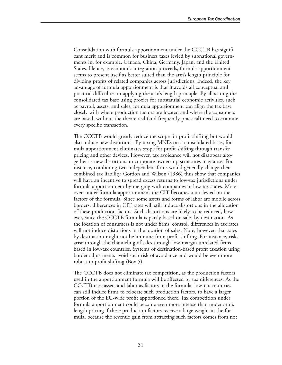Consolidation with formula apportionment under the CCCTB has significant merit and is common for business taxes levied by subnational governments in, for example, Canada, China, Germany, Japan, and the United States. Hence, as economic integration proceeds, formula apportionment seems to present itself as better suited than the arm's length principle for dividing profits of related companies across jurisdictions. Indeed, the key advantage of formula apportionment is that it avoids all conceptual and practical difficulties in applying the arm's length principle. By allocating the consolidated tax base using proxies for substantial economic activities, such as payroll, assets, and sales, formula apportionment can align the tax base closely with where production factors are located and where the consumers are based, without the theoretical (and frequently practical) need to examine every specific transaction.

The CCCTB would greatly reduce the scope for profit shifting but would also induce new distortions. By taxing MNEs on a consolidated basis, formula apportionment eliminates scope for profit shifting through transfer pricing and other devices. However, tax avoidance will not disappear altogether as new distortions in corporate ownership structures may arise. For instance, combining two independent firms would generally change their combined tax liability. Gordon and Wilson (1986) thus show that companies will have an incentive to spread excess returns to low-tax jurisdictions under formula apportionment by merging with companies in low-tax states. Moreover, under formula apportionment the CIT becomes a tax levied on the factors of the formula. Since some assets and forms of labor are mobile across borders, differences in CIT rates will still induce distortions in the allocation of these production factors. Such distortions are likely to be reduced, however, since the CCCTB formula is partly based on sales by destination. As the location of consumers is not under firms' control, differences in tax rates will not induce distortions in the location of sales. Note, however, that sales by destination might not be immune from profit shifting. For instance, risks arise through the channeling of sales through low-margin unrelated firms based in low-tax countries. Systems of destination-based profit taxation using border adjustments avoid such risk of avoidance and would be even more robust to profit shifting (Box 5).

The CCCTB does not eliminate tax competition, as the production factors used in the apportionment formula will be affected by tax differences. As the CCCTB uses assets and labor as factors in the formula, low-tax countries can still induce firms to relocate such production factors, to have a larger portion of the EU-wide profit apportioned there. Tax competition under formula apportionment could become even more intense than under arm's length pricing if these production factors receive a large weight in the formula, because the revenue gain from attracting such factors comes from not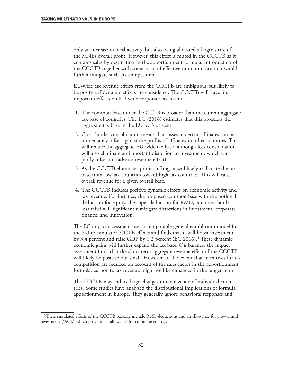only an increase in local activity, but also being allocated a larger share of the MNEs overall profit. However, this effect is muted in the CCCTB as it contains sales by destination in the apportionment formula. Introduction of the CCCTB together with some form of effective minimum taxation would further mitigate such tax competition.

EU-wide tax revenue effects from the CCCTB are ambiguous but likely to be positive if dynamic effects are considered. The CCCTB will have four important effects on EU-wide corporate tax revenue.

- 1. The common base under the CCTB is broader than the current aggregate tax base of countries. The EC (2016) estimates that this broadens the aggregate tax base in the EU by 3 percent.
- 2. Cross-border consolidation means that losses in certain affiliates can be immediately offset against the profits of affiliates in other countries. This will reduce the aggregate EU-wide tax base (although loss consolidation will also eliminate an important distortion to investment, which can partly offset this adverse revenue effect).
- 3. As the CCCTB eliminates profit shifting, it will likely reallocate the tax base from low-tax countries toward high-tax countries. This will raise overall revenue for a given overall base.
- 4. The CCCTB induces positive dynamic effects on economic activity and tax revenue. For instance, the proposed common base with the notional deduction for equity, the super deduction for R&D, and cross-border loss relief will significantly mitigate distortions in investment, corporate finance, and innovation.

The EC impact assessment uses a computable general equilibrium model for the EU to simulate CCCTB effects and finds that it will boost investment by 3.4 percent and raise GDP by 1.2 percent (EC 2016).<sup>5</sup> These dynamic economic gains will further expand the tax base. On balance, the impact assessment finds that the short-term aggregate revenue effect of the CCCTB will likely be positive but small. However, to the extent that incentives for tax competition are reduced on account of the sales factor in the apportionment formula, corporate tax revenue might well be enhanced in the longer term.

The CCCTB may induce large changes in tax revenue of individual countries. Some studies have analyzed the distributional implications of formula apportionment in Europe. They generally ignore behavioral responses and

<sup>5</sup>These simulated effects of the CCCTB package include R&D deductions and an allowance for growth and investment ("AGI," which provides an allowance for corporate equity).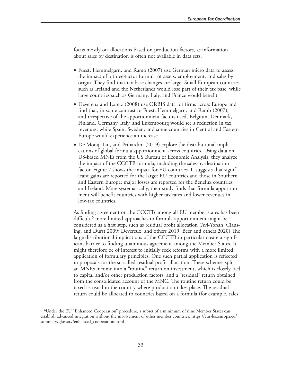focus mostly on allocations based on production factors, as information about sales by destination is often not available in data sets.

- Fuest, Hemmelgarn, and Ramb (2007) use German micro data to assess the impact of a three-factor formula of assets, employment, and sales by origin. They find that tax base changes are large. Small European countries such as Ireland and the Netherlands would lose part of their tax base, while large countries such as Germany, Italy, and France would benefit.
- Devereux and Loretz (2008) use ORBIS data for firms across Europe and find that, in some contrast to Fuest, Hemmelgarn, and Ramb (2007), and irrespective of the apportionment factors used, Belgium, Denmark, Finland, Germany, Italy, and Luxembourg would see a reduction in tax revenues, while Spain, Sweden, and some countries in Central and Eastern Europe would experience an increase.
- De Mooij, Liu, and Prihardini (2019) explore the distributional implications of global formula apportionment across countries. Using data on US-based MNEs from the US Bureau of Economic Analysis, they analyze the impact of the CCCTB formula, including the sales-by-destination factor. Figure 7 shows the impact for EU countries. It suggests that significant gains are reported for the larger EU countries and those in Southern and Eastern Europe; major losses are reported for the Benelux countries and Ireland. More systematically, their study finds that formula apportionment will benefit countries with higher tax rates and lower revenues in low-tax countries.

As finding agreement on the CCCTB among all EU member states has been difficult,<sup>6</sup> more limited approaches to formula apportionment might be considered as a first step, such as residual profit allocation (Avi-Yonah, Clausing, and Durst 2009; Devereux, and others 2019; Beer and others 2020) The large distributional implications of the CCCTB in particular create a significant barrier to finding unanimous agreement among the Member States. It might therefore be of interest to initially seek reforms with a more limited application of formulary principles. One such partial application is reflected in proposals for the so-called residual profit allocation. These schemes split an MNEs income into a "routine" return on investment, which is closely tied to capital and/or other production factors, and a "residual" return obtained from the consolidated account of the MNC. The routine return could be taxed as usual in the country where production takes place. The residual return could be allocated to countries based on a formula (for example, sales

<sup>6</sup>Under the EU "Enhanced Cooperation" procedure, a subset of a minimum of nine Member States can establish advanced integration without the involvement of other member countries: [https://eur-lex.europa.eu/](https://eur-lex.europa.eu/summary/glossary/enhanced_cooperation.html) [summary/glossary/enhanced\\_cooperation.html](https://eur-lex.europa.eu/summary/glossary/enhanced_cooperation.html)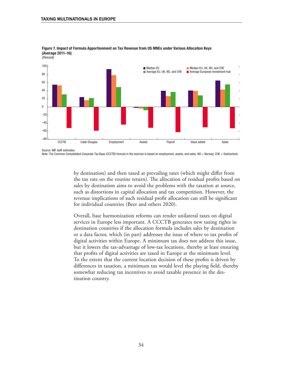

Figure 7. Impact of Formula Apportionment on Tax Revenue from US MNEs under Various Allocation Keys (Average 2011–16)

Source: IMF staff estimates.

*(Percent)*

Note: The Common Consolidated Corporate Tax Base (CCCTB) formula in the exercise is based on employment, assets, and sales. NO = Norway; CHE = Switzerland.

by destination) and then taxed at prevailing rates (which might differ from the tax rate on the routine return). The allocation of residual profits based on sales by destination aims to avoid the problems with the taxation at source, such as distortions in capital allocation and tax competition. However, the revenue implications of such residual profit allocation can still be significant for individual countries (Beer and others 2020).

Overall, base harmonization reforms can render unilateral taxes on digital services in Europe less important. A CCCTB generates new taxing rights in destination countries if the allocation formula includes sales by destination or a data factor, which (in part) addresses the issue of where to tax profits of digital activities within Europe. A minimum tax does not address this issue, but it lowers the tax-advantage of low-tax locations, thereby at least ensuring that profits of digital activities are taxed in Europe at the minimum level. To the extent that the current location decision of these profits is driven by differences in taxation, a minimum tax would level the playing field, thereby somewhat reducing tax incentives to avoid taxable presence in the destination country.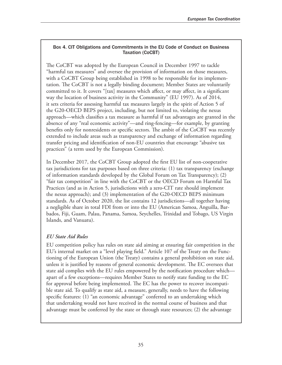#### Box 4. CIT Obligations and Commitments in the EU Code of Conduct on Business Taxation (CoCBT)

The CoCBT was adopted by the European Council in December 1997 to tackle "harmful tax measures" and oversee the provision of information on those measures, with a CoCBT Group being established in 1998 to be responsible for its implementation. The CoCBT is not a legally binding document; Member States are voluntarily committed to it. It covers "[tax] measures which affect, or may affect, in a significant way the location of business activity in the Community" (EU 1997). As of 2014, it sets criteria for assessing harmful tax measures largely in the spirit of Action 5 of the G20-OECD BEPS project, including, but not limited to, violating the nexus approach—which classifies a tax measure as harmful if tax advantages are granted in the absence of any "real economic activity"—and ring-fencing—for example, by granting benefits only for nonresidents or specific sectors. The ambit of the CoCBT was recently extended to include areas such as transparency and exchange of information regarding transfer pricing and identification of non-EU countries that encourage "abusive tax practices" (a term used by the European Commission).

In December 2017, the CoCBT Group adopted the first EU list of non-cooperative tax jurisdictions for tax purposes based on three criteria: (1) tax transparency (exchange of information standards developed by the Global Forum on Tax Transparency); (2) "fair tax competition" in line with the CoCBT or the OECD Forum on Harmful Tax Practices (and as in Action 5, jurisdictions with a zero-CIT rate should implement the nexus approach); and (3) implementation of the G20-OECD BEPS minimum standards. As of October 2020, the list contains 12 jurisdictions—all together having a negligible share in total FDI from or into the EU (American Samoa, Anguilla, Barbados, Fiji, Guam, Palau, Panama, Samoa, Seychelles, Trinidad and Tobago, US Virgin Islands, and Vanuatu).

#### *EU State Aid Rules*

EU competition policy has rules on state aid aiming at ensuring fair competition in the EU's internal market on a "level playing field." Article 107 of the Treaty on the Functioning of the European Union (the Treaty) contains a general prohibition on state aid, unless it is justified by reasons of general economic development. The EC oversees that state aid complies with the EU rules empowered by the notification procedure which apart of a few exceptions—requires Member States to notify state funding to the EC for approval before being implemented. The EC has the power to recover incompatible state aid. To qualify as state aid, a measure, generally, needs to have the following specific features: (1) "an economic advantage" conferred to an undertaking which that undertaking would not have received in the normal course of business and that advantage must be conferred by the state or through state resources; (2) the advantage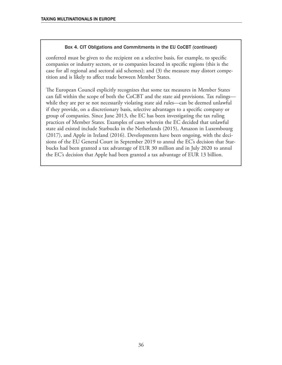#### Box 4. CIT Obligations and Commitments in the EU CoCBT *(continued)*

conferred must be given to the recipient on a selective basis, for example, to specific companies or industry sectors, or to companies located in specific regions (this is the case for all regional and sectoral aid schemes); and (3) the measure may distort competition and is likely to affect trade between Member States.

The European Council explicitly recognizes that some tax measures in Member States can fall within the scope of both the CoCBT and the state aid provisions. Tax rulings while they are per se not necessarily violating state aid rules—can be deemed unlawful if they provide, on a discretionary basis, selective advantages to a specific company or group of companies. Since June 2013, the EC has been investigating the tax ruling practices of Member States. Examples of cases wherein the EC decided that unlawful state aid existed include Starbucks in the Netherlands (2015), Amazon in Luxembourg (2017), and Apple in Ireland (2016). Developments have been ongoing, with the decisions of the EU General Court in September 2019 to annul the EC's decision that Starbucks had been granted a tax advantage of EUR 30 million and in July 2020 to annul the EC's decision that Apple had been granted a tax advantage of EUR 13 billion.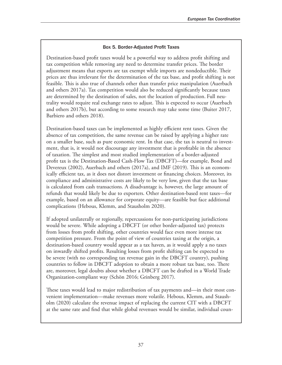#### Box 5. Border-Adjusted Profit Taxes

Destination-based profit taxes would be a powerful way to address profit shifting and tax competition while removing any need to determine transfer prices. The border adjustment means that exports are tax exempt while imports are nondeductible. Their prices are thus irrelevant for the determination of the tax base, and profit shifting is not feasible. This is also true of channels other than transfer price manipulation (Auerbach and others 2017a). Tax competition would also be reduced significantly because taxes are determined by the destination of sales, not the location of production. Full neutrality would require real exchange rates to adjust. This is expected to occur (Auerbach and others 2017b), but according to some research may take some time (Buiter 2017, Barbiero and others 2018).

Destination-based taxes can be implemented as highly efficient rent taxes. Given the absence of tax competition, the same revenue can be raised by applying a higher rate on a smaller base, such as pure economic rent. In that case, the tax is neutral to investment, that is, it would not discourage any investment that is profitable in the absence of taxation. The simplest and most studied implementation of a border-adjusted profit tax is the Destination-Based Cash-Flow Tax (DBCFT)—for example, Bond and Devereux (2002), Auerbach and others (2017a), and IMF (2019). This is an economically efficient tax, as it does not distort investment or financing choices. Moreover, its compliance and administrative costs are likely to be very low, given that the tax base is calculated from cash transactions. A disadvantage is, however, the large amount of refunds that would likely be due to exporters. Other destination-based rent taxes—for example, based on an allowance for corporate equity—are feasible but face additional complications (Hebous, Klemm, and Stausholm 2020).

If adopted unilaterally or regionally, repercussions for non-participating jurisdictions would be severe. While adopting a DBCFT (or other border-adjusted tax) protects from losses from profit shifting, other countries would face even more intense tax competition pressure. From the point of view of countries taxing at the origin, a destination-based country would appear as a tax haven, as it would apply a no taxes on inwardly shifted profits. Resulting losses from profit shifting can be expected to be severe (with no corresponding tax revenue gain in the DBCFT country), pushing countries to follow in DBCFT adoption to obtain a more robust tax base, too. There are, moreover, legal doubts about whether a DBCFT can be drafted in a World Trade Organization-compliant way (Schön 2016; Grinberg 2017).

These taxes would lead to major redistribution of tax payments and—in their most convenient implementation—make revenues more volatile. Hebous, Klemm, and Stausholm (2020) calculate the revenue impact of replacing the current CIT with a DBCFT at the same rate and find that while global revenues would be similar, individual coun-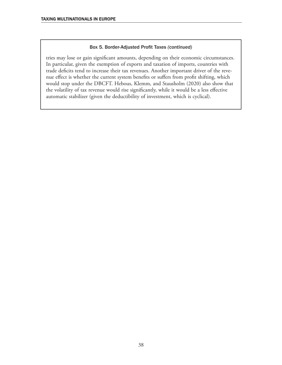#### Box 5. Border-Adjusted Profit Taxes *(continued)*

tries may lose or gain significant amounts, depending on their economic circumstances. In particular, given the exemption of exports and taxation of imports, countries with trade deficits tend to increase their tax revenues. Another important driver of the revenue effect is whether the current system benefits or suffers from profit shifting, which would stop under the DBCFT. Hebous, Klemm, and Stausholm (2020) also show that the volatility of tax revenue would rise significantly, while it would be a less effective automatic stabilizer (given the deductibility of investment, which is cyclical).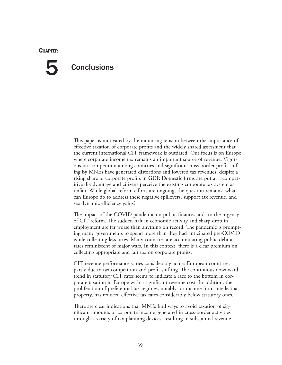#### **CHAPTER**

## **Conclusions** 5

This paper is motivated by the mounting tension between the importance of effective taxation of corporate profits and the widely shared assessment that the current international CIT framework is outdated. Our focus is on Europe where corporate income tax remains an important source of revenue. Vigorous tax competition among countries and significant cross-border profit shifting by MNEs have generated distortions and lowered tax revenues, despite a rising share of corporate profits in GDP. Domestic firms are put at a competitive disadvantage and citizens perceive the existing corporate tax system as unfair. While global reform efforts are ongoing, the question remains: what can Europe do to address these negative spillovers, support tax revenue, and see dynamic efficiency gains?

The impact of the COVID pandemic on public finances adds to the urgency of CIT reform. The sudden halt in economic activity and sharp drop in employment are far worse than anything on record. The pandemic is prompting many governments to spend more than they had anticipated pre-COVID while collecting less taxes. Many countries are accumulating public debt at rates reminiscent of major wars. In this context, there is a clear premium on collecting appropriate and fair tax on corporate profits.

CIT revenue performance varies considerably across European countries, partly due to tax competition and profit shifting. The continuous downward trend in statutory CIT rates seems to indicate a race to the bottom in corporate taxation in Europe with a significant revenue cost. In addition, the proliferation of preferential tax regimes, notably for income from intellectual property, has reduced effective tax rates considerably below statutory ones.

There are clear indications that MNEs find ways to avoid taxation of significant amounts of corporate income generated in cross-border activities through a variety of tax planning devices, resulting in substantial revenue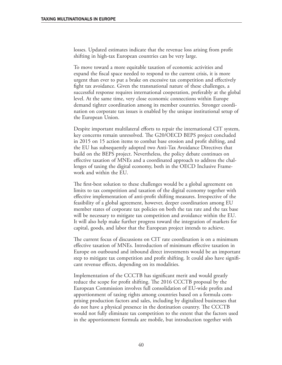losses. Updated estimates indicate that the revenue loss arising from profit shifting in high-tax European countries can be very large.

To move toward a more equitable taxation of economic activities and expand the fiscal space needed to respond to the current crisis, it is more urgent than ever to put a brake on excessive tax competition and effectively fight tax avoidance. Given the transnational nature of these challenges, a successful response requires international cooperation, preferably at the global level. At the same time, very close economic connections within Europe demand tighter coordination among its member countries. Stronger coordination on corporate tax issues is enabled by the unique institutional setup of the European Union.

Despite important multilateral efforts to repair the international CIT system, key concerns remain unresolved. The G20/OECD BEPS project concluded in 2015 on 15 action items to combat base erosion and profit shifting, and the EU has subsequently adopted two Anti-Tax Avoidance Directives that build on the BEPS project. Nevertheless, the policy debate continues on effective taxation of MNEs and a coordinated approach to address the challenges of taxing the digital economy, both in the OECD Inclusive Framework and within the EU.

The first-best solution to these challenges would be a global agreement on limits to tax competition and taxation of the digital economy together with effective implementation of anti-profit shifting measures. Irrespective of the feasibility of a global agreement, however, deeper coordination among EU member states of corporate tax policies on both the tax rate and the tax base will be necessary to mitigate tax competition and avoidance within the EU. It will also help make further progress toward the integration of markets for capital, goods, and labor that the European project intends to achieve.

The current focus of discussions on CIT rate coordination is on a minimum effective taxation of MNEs. Introduction of minimum effective taxation in Europe on outbound and inbound direct investments would be an important step to mitigate tax competition and profit shifting. It could also have significant revenue effects, depending on its modalities.

Implementation of the CCCTB has significant merit and would greatly reduce the scope for profit shifting. The 2016 CCCTB proposal by the European Commission involves full consolidation of EU-wide profits and apportionment of taxing rights among countries based on a formula comprising production factors and sales, including by digitalized businesses that do not have a physical presence in the destination country. The CCCTB would not fully eliminate tax competition to the extent that the factors used in the apportionment formula are mobile, but introduction together with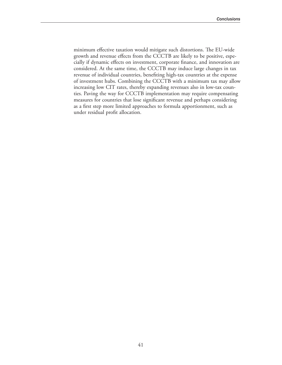minimum effective taxation would mitigate such distortions. The EU-wide growth and revenue effects from the CCCTB are likely to be positive, especially if dynamic effects on investment, corporate finance, and innovation are considered. At the same time, the CCCTB may induce large changes in tax revenue of individual countries, benefiting high-tax countries at the expense of investment hubs. Combining the CCCTB with a minimum tax may allow increasing low CIT rates, thereby expanding revenues also in low-tax counties. Paving the way for CCCTB implementation may require compensating measures for countries that lose significant revenue and perhaps considering as a first step more limited approaches to formula apportionment, such as under residual profit allocation.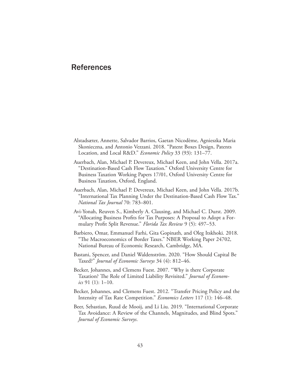### References

- Alstadsæter, Annette, Salvador Barrios, Gaetan Nicodème, Agnieszka Maria Skonieczna, and Antonio Vezzani. 2018. "Patent Boxes Design, Patents Location, and Local R&D." *Economic Policy* 33 (93): 131–77.
- Auerbach, Alan, Michael P. Devereux, Michael Keen, and John Vella. 2017a. "Destination-Based Cash Flow Taxation." Oxford University Centre for Business Taxation Working Papers 17/01, Oxford University Centre for Business Taxation, Oxford, England.
- Auerbach, Alan, Michael P. Devereux, Michael Keen, and John Vella. 2017b. "International Tax Planning Under the Destination-Based Cash Flow Tax." *National Tax Journal* 70: 783–801.
- Avi-Yonah, Reuven S., Kimberly A. Clausing, and Michael C. Durst. 2009. "Allocating Business Profits for Tax Purposes: A Proposal to Adopt a Formulary Profit Split Revenue." *Florida Tax Review* 9 (5): 497–53.
- Barbiero, Omar, Emmanuel Farhi, Gita Gopinath, and Oleg Itskhoki. 2018. "The Macroeconomics of Border Taxes." NBER Working Paper 24702, National Bureau of Economic Research, Cambridge, MA.
- Bastani, Spencer, and Daniel Waldenström. 2020. "How Should Capital Be Taxed?" *Journal of Economic Surveys* 34 (4): 812–46.
- Becker, Johannes, and Clemens Fuest. 2007. "Why is there Corporate Taxation? The Role of Limited Liability Revisited." *Journal of Economics* 91 (1): 1–10.
- Becker, Johannes, and Clemens Fuest. 2012. "Transfer Pricing Policy and the Intensity of Tax Rate Competition." *Economics Letters* 117 (1): 146–48.
- Beer, Sebastian, Ruud de Mooij, and Li Liu. 2019. "International Corporate Tax Avoidance: A Review of the Channels, Magnitudes, and Blind Spots." *Journal of Economic Surveys*.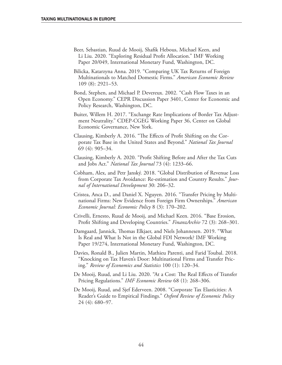- Beer, Sebastian, Ruud de Mooij, Shafik Hebous, Michael Keen, and Li Liu. 2020. "Exploring Residual Profit Allocation." IMF Working Paper 20/049, International Monetary Fund, Washington, DC.
- Bilicka, Katarzyna Anna. 2019. "Comparing UK Tax Returns of Foreign Multinationals to Matched Domestic Firms." *American Economic Review* 109 (8): 2921–53.
- Bond, Stephen, and Michael P. Devereux. 2002. "Cash Flow Taxes in an Open Economy." CEPR Discussion Paper 3401, Center for Economic and Policy Research, Washington, DC.
- Buiter, Willem H. 2017. "Exchange Rate Implications of Border Tax Adjustment Neutrality." CDEP-CGEG Working Paper 36, Center on Global Economic Governance, New York.
- Clausing, Kimberly A. 2016. "The Effects of Profit Shifting on the Corporate Tax Base in the United States and Beyond." *National Tax Journal* 69 (4): 905–34.
- Clausing, Kimberly A. 2020. "Profit Shifting Before and After the Tax Cuts and Jobs Act." *National Tax Journal* 73 (4): 1233–66.
- Cobham, Alex, and Petr Janský. 2018. "Global Distribution of Revenue Loss from Corporate Tax Avoidance: Re-estimation and Country Results." *Journal of International Development* 30: 206–32.
- Cristea, Anca D., and Daniel X. Nguyen. 2016. "Transfer Pricing by Multinational Firms: New Evidence from Foreign Firm Ownerships." *American Economic Journal: Economic Policy* 8 (3): 170–202.
- Crivelli, Ernesto, Ruud de Mooij, and Michael Keen. 2016. "Base Erosion, Profit Shifting and Developing Countries." *FinanzArchiv* 72 (3): 268–301.
- Damgaard, Jannick, Thomas Elkjaer, and Niels Johannesen. 2019. "What Is Real and What Is Not in the Global FDI Network? IMF Working Paper 19/274, International Monetary Fund, Washington, DC.
- Davies, Ronald B., Julien Martin, Mathieu Parenti, and Farid Toubal. 2018. "Knocking on Tax Haven's Door: Multinational Firms and Transfer Pricing." *Review of Economics and Statistics* 100 (1): 120–34.
- De Mooij, Ruud, and Li Liu. 2020. "At a Cost: The Real Effects of Transfer Pricing Regulations." *IMF Economic Review* 68 (1): 268–306.
- De Mooij, Ruud, and Sjef Ederveen. 2008. "Corporate Tax Elasticities: A Reader's Guide to Empirical Findings." *Oxford Review of Economic Policy* 24 (4): 680–97.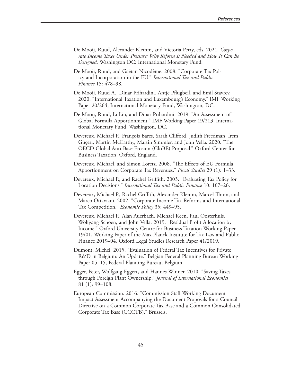- De Mooij, Ruud, Alexander Klemm, and Victoria Perry, eds. 2021. *Corporate Income Taxes Under Pressure: Why Reform Is Needed and How It Can Be Designed*. Washington DC: International Monetary Fund.
- De Mooij, Ruud, and Gaëtan Nicodème. 2008. "Corporate Tax Policy and Incorporation in the EU." *International Tax and Public Finance* 15: 478–98.
- De Mooij, Ruud A., Dinar Prihardini, Antje Pflugbeil, and Emil Stavrev. 2020. "International Taxation and Luxembourg's Economy." IMF Working Paper 20/264, International Monetary Fund, Washington, DC.
- [De Mooij,](https://www.imf.org/en/Publications/Publications-By-Author?author=Ruud+A.+de+Mooij&name=Ruud%20A.%20de%20Mooij) Ruud, Li Liu, and Dinar [Prihardini.](https://www.imf.org/en/Publications/Publications-By-Author?author=Dinar++Prihardini&name=Dinar%20%20Prihardini) 2019. "An Assessment of Global Formula Apportionment." IMF Working Paper 19/213, International Monetary Fund, Washington, DC.
- Devereux, Michael P., François Bares, Sarah Clifford, Judith Freedman, İrem Güçeri, Martin McCarthy, Martin Simmler, and John Vella. 2020. "The OECD Global Anti-Base Erosion (GloBE) Proposal." Oxford Center for Business Taxation, Oxford, England.
- Devereux, Michael, and Simon Loretz. 2008. "The Effects of EU Formula Apportionment on Corporate Tax Revenues." *Fiscal Studies* 29 (1): 1–33.
- Devereux, Michael P., and Rachel Griffith. 2003. "Evaluating Tax Policy for Location Decisions." *International Tax and Public Finance* 10: 107–26.
- Devereux, Michael P., Rachel Griffith, Alexander Klemm, Marcel Thum, and Marco Ottaviani. 2002. "Corporate Income Tax Reforms and International Tax Competition." *Economic Policy* 35: 449–95.
- Devereux, Michael P., Alan Auerbach, Michael Keen, Paul Oosterhuis, Wolfgang Schoen, and John Vella. 2019. "Residual Profit Allocation by Income." Oxford University Centre for Business Taxation Working Paper 19/01, Working Paper of the Max Planck Institute for Tax Law and Public Finance 2019–04, Oxford Legal Studies Research Paper 41/2019.
- Dumont, Michel. 2015. "Evaluation of Federal Tax Incentives for Private R&D in Belgium: An Update." Belgian Federal Planning Bureau Working Paper 05–15, Federal Planning Bureau, Belgium.
- Egger, Peter, Wolfgang Eggert, and Hannes Winner. 2010. "Saving Taxes through Foreign Plant Ownership." *Journal of International Economics* 81 (1): 99–108.
- European Commission. 2016. "Commission Staff Working Document Impact Assessment Accompanying the Document Proposals for a Council Directive on a Common Corporate Tax Base and a Common Consolidated Corporate Tax Base (CCCTB)." Brussels.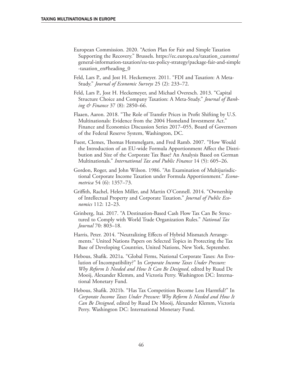- European Commission. 2020. "Action Plan for Fair and Simple Taxation Supporting the Recovery." Brussels. [https://ec.europa.eu/taxation\\_customs/](https://ec.europa.eu/taxation_customs/general-information-taxation/eu-tax-policy-strategy/package-fair-and-simple-taxation_en#heading_0) [general-information-taxation/eu-tax-policy-strategy/package-fair-and-simple](https://ec.europa.eu/taxation_customs/general-information-taxation/eu-tax-policy-strategy/package-fair-and-simple-taxation_en#heading_0) [-taxation\\_en#heading\\_0](https://ec.europa.eu/taxation_customs/general-information-taxation/eu-tax-policy-strategy/package-fair-and-simple-taxation_en#heading_0)
- Feld, Lars P., and Jost H. Heckemeyer. 2011. "FDI and Taxation: A Meta-Study." *Journal of Economic Surveys* 25 (2): 233–72.
- Feld, Lars P., Jost H. Heckemeyer, and Michael Overesch. 2013. "Capital Structure Choice and Company Taxation: A Meta-Study." *Journal of Banking & Finance* 37 (8): 2850–66.
- Flaaen, Aaron. 2018. "The Role of Transfer Prices in Profit Shifting by U.S. Multinationals: Evidence from the 2004 Homeland Investment Act." Finance and Economics Discussion Series 2017–055, Board of Governors of the Federal Reserve System, Washington, DC.
- Fuest, Clemes, Thomas Hemmelgarn, and Fred Ramb. 2007. "How Would the Introduction of an EU-wide Formula Apportionment Affect the Distribution and Size of the Corporate Tax Base? An Analysis Based on German Multinationals." *International Tax and Public Finance* 14 (5): 605–26.
- Gordon, Roger, and John Wilson. 1986. "An Examination of Multijurisdictional Corporate Income Taxation under Formula Apportionment." *Econometrica* 54 (6): 1357–73.
- Griffith, Rachel, Helen Miller, and Martin O'Connell. 2014. "Ownership of Intellectual Property and Corporate Taxation." *Journal of Public Economics* 112: 12–23.
- Grinberg, Itai. 2017. "A Destination-Based Cash Flow Tax Can Be Structured to Comply with World Trade Organization Rules." *National Tax Journal* 70: 803–18.
- Harris, Peter. 2014. "Neutralizing Effects of Hybrid Mismatch Arrangements." United Nations Papers on Selected Topics in Protecting the Tax Base of Developing Countries, United Nations, New York, September.
- Hebous, Shafik. 2021a. "Global Firms, National Corporate Taxes: An Evolution of Incompatibility?" In *Corporate Income Taxes Under Pressure: Why Reform Is Needed and How It Can Be Designed*, edited by Ruud De Mooij, Alexander Klemm, and Victoria Perry. Washington DC: International Monetary Fund.
- Hebous, Shafik. 2021b. "Has Tax Competition Become Less Harmful?" In *Corporate Income Taxes Under Pressure: Why Reform Is Needed and How It Can Be Designed*, edited by Ruud De Mooij, Alexander Klemm, Victoria Perry. Washington DC: International Monetary Fund.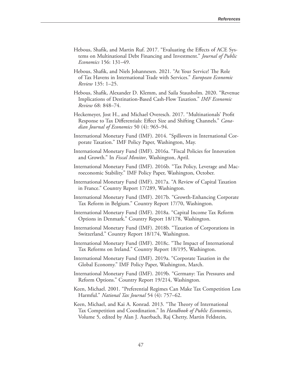- Hebous, Shafik, and Martin Ruf. 2017. "Evaluating the Effects of ACE Systems on Multinational Debt Financing and Investment." *Journal of Public Economics* 156: 131–49.
- Hebous, Shafik, and Niels Johannesen. 2021. "At Your Service! The Role of Tax Havens in International Trade with Services." *European Economic Review* 135: 1–25.
- Hebous, Shafik, Alexander D. Klemm, and Saila Stausholm. 2020. "Revenue Implications of Destination-Based Cash-Flow Taxation." *IMF Economic Review* 68: 848–74.
- Heckemeyer, Jost H., and Michael Overesch. 2017. "Multinationals' Profit Response to Tax Differentials: Effect Size and Shifting Channels." *Canadian Journal of Economics* 50 (4): 965–94.
- International Monetary Fund (IMF). 2014. "Spillovers in International Corporate Taxation." IMF Policy Paper, Washington, May.
- International Monetary Fund (IMF). 2016a. "Fiscal Policies for Innovation and Growth." In *Fiscal Monitor*, Washington, April.
- International Monetary Fund (IMF). 2016b. "Tax Policy, Leverage and Macroeconomic Stability." IMF Policy Paper, Washington, October.
- International Monetary Fund (IMF). 2017a. "A Review of Capital Taxation in France." Country Report 17/289, Washington.
- International Monetary Fund (IMF). 2017b. "Growth-Enhancing Corporate Tax Reform in Belgium." Country Report 17/70, Washington.
- International Monetary Fund (IMF). 2018a. "Capital Income Tax Reform Options in Denmark." Country Report 18/178, Washington.
- International Monetary Fund (IMF). 2018b. "Taxation of Corporations in Switzerland." Country Report 18/174, Washington.
- International Monetary Fund (IMF). 2018c. "The Impact of International Tax Reforms on Ireland." Country Report 18/195, Washington.
- International Monetary Fund (IMF). 2019a. "Corporate Taxation in the Global Economy." IMF Policy Paper, Washington, March.
- International Monetary Fund (IMF). 2019b. "Germany: Tax Pressures and Reform Options." Country Report 19/214, Washington.
- Keen, Michael. 2001. "Preferential Regimes Can Make Tax Competition Less Harmful." *National Tax Journal* 54 (4): 757–62.
- Keen, Michael, and Kai A. Konrad. 2013. "The Theory of International Tax Competition and Coordination." In *Handbook of Public Economics*, Volume 5, edited by Alan J. Auerbach, Raj Chetty, Martin Feldstein,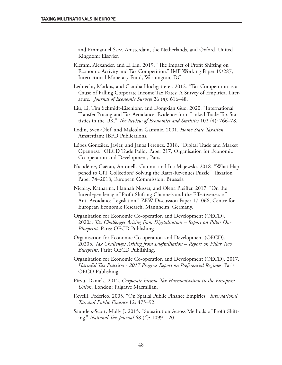and Emmanuel Saez. Amsterdam, the Netherlands, and Oxford, United Kingdom: Elsevier.

- Klemm, Alexander, and Li Liu. 2019. "The Impact of Profit Shifting on Economic Activity and Tax Competition." IMF Working Paper 19/287, International Monetary Fund, Washington, DC.
- Leibrecht, Markus, and Claudia Hochgatterer. 2012. "Tax Competition as a Cause of Falling Corporate Income Tax Rates: A Survey of Empirical Literature." *Journal of Economic Surveys* 26 (4): 616–48.
- Liu, Li, Tim Schmidt-Eisenlohr, and Dongxian Guo. 2020. "International Transfer Pricing and Tax Avoidance: Evidence from Linked Trade-Tax Statistics in the UK." *The Review of Economics and Statistics* 102 (4): 766–78.
- Lodin, Sven-Olof, and Malcolm Gammie. 2001. *Home State Taxation*. Amsterdam: IBFD Publications.
- López González, Javier, and Janos Ferencz. 2018. "Digital Trade and Market Openness." OECD Trade Policy Paper 217, Organisation for Economic Co-operation and Development, Paris.
- Nicodème, Gaëtan, Antonella Caiumi, and Ina Majewski. 2018. "What Happened to CIT Collection? Solving the Rates-Revenues Puzzle." Taxation Paper 74–2018, European Commission, Brussels.
- Nicolay, Katharina, Hannah Nusser, and Olena Pfeiffer. 2017. "On the Interdependency of Profit Shifting Channels and the Effectiveness of Anti-Avoidance Legislation." ZEW Discussion Paper 17–066, Centre for European Economic Research, Mannheim, Germany.
- Organisation for Economic Co-operation and Development (OECD). 2020a. *Tax Challenges Arising from Digitalisation – Report on Pillar One Blueprint*. Paris: OECD Publishing.
- Organisation for Economic Co-operation and Development (OECD). 2020b. *Tax Challenges Arising from Digitalisation – Report on Pillar Two Blueprint*. Paris: OECD Publishing.
- Organisation for Economic Co-operation and Development (OECD). 2017. *Harmful Tax Practices - 2017 Progress Report on Preferential Regimes*. Paris: OECD Publishing.
- Pîrvu, Daniela. 2012. *Corporate Income Tax Harmonization in the European Union*. London: Palgrave Macmillan.
- Revelli, Federico. 2005. "On Spatial Public Finance Empirics." *International Tax and Public Finance* 12: 475–92.
- Saunders-Scott, Molly J. 2015. "Substitution Across Methods of Profit Shifting." *National Tax Journal* 68 (4): 1099–120.